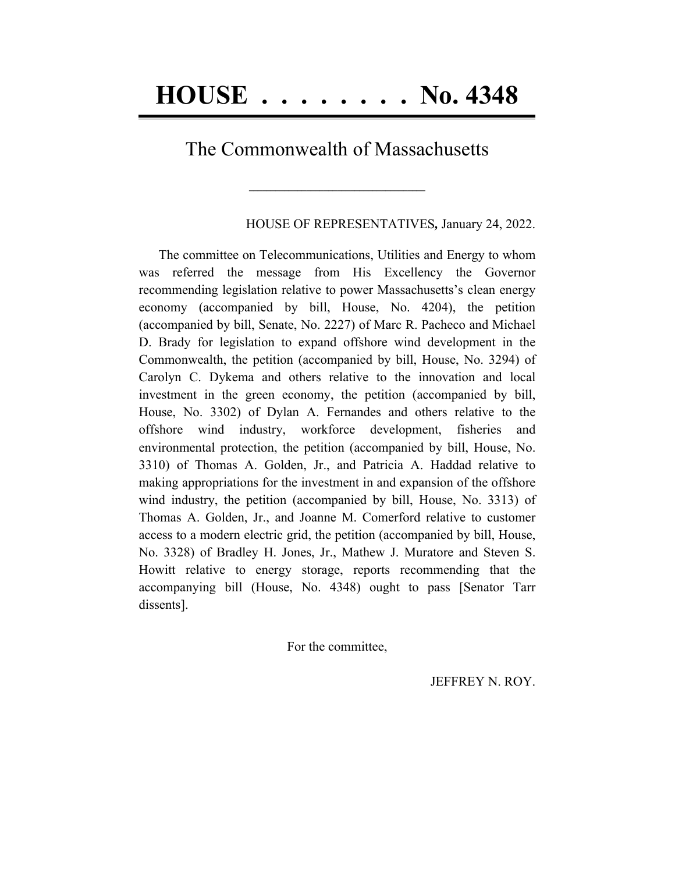## The Commonwealth of Massachusetts

**\_\_\_\_\_\_\_\_\_\_\_\_\_\_\_\_\_\_\_\_\_\_\_\_\_\_\_\_\_\_\_\_\_\_\_\_\_\_\_\_**

HOUSE OF REPRESENTATIVES*,* January 24, 2022.

The committee on Telecommunications, Utilities and Energy to whom was referred the message from His Excellency the Governor recommending legislation relative to power Massachusetts's clean energy economy (accompanied by bill, House, No. 4204), the petition (accompanied by bill, Senate, No. 2227) of Marc R. Pacheco and Michael D. Brady for legislation to expand offshore wind development in the Commonwealth, the petition (accompanied by bill, House, No. 3294) of Carolyn C. Dykema and others relative to the innovation and local investment in the green economy, the petition (accompanied by bill, House, No. 3302) of Dylan A. Fernandes and others relative to the offshore wind industry, workforce development, fisheries and environmental protection, the petition (accompanied by bill, House, No. 3310) of Thomas A. Golden, Jr., and Patricia A. Haddad relative to making appropriations for the investment in and expansion of the offshore wind industry, the petition (accompanied by bill, House, No. 3313) of Thomas A. Golden, Jr., and Joanne M. Comerford relative to customer access to a modern electric grid, the petition (accompanied by bill, House, No. 3328) of Bradley H. Jones, Jr., Mathew J. Muratore and Steven S. Howitt relative to energy storage, reports recommending that the accompanying bill (House, No. 4348) ought to pass [Senator Tarr dissents].

For the committee,

JEFFREY N. ROY.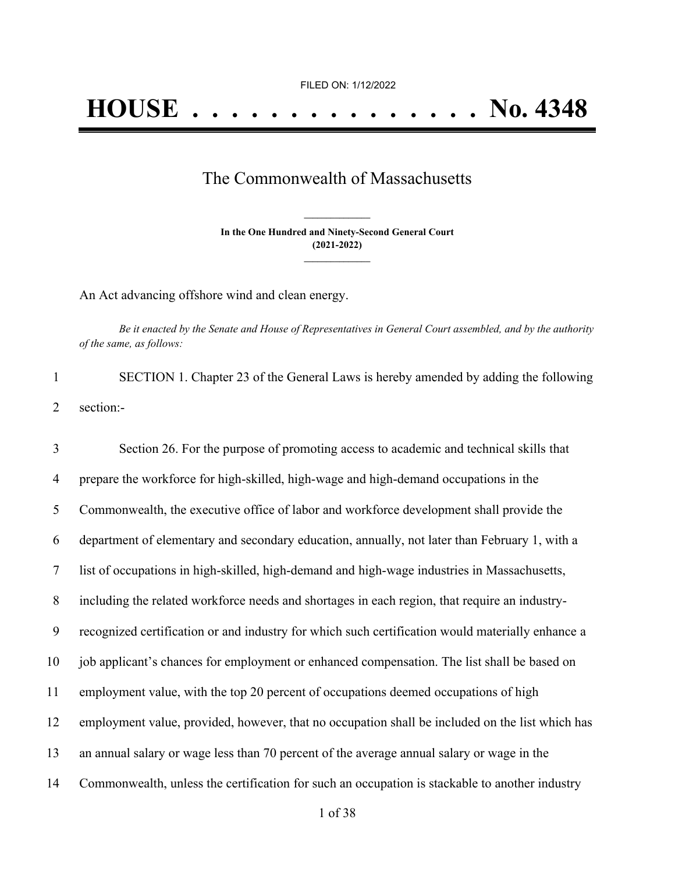## The Commonwealth of Massachusetts

**In the One Hundred and Ninety-Second General Court (2021-2022) \_\_\_\_\_\_\_\_\_\_\_\_\_\_\_**

**\_\_\_\_\_\_\_\_\_\_\_\_\_\_\_**

An Act advancing offshore wind and clean energy.

Be it enacted by the Senate and House of Representatives in General Court assembled, and by the authority *of the same, as follows:*

1 SECTION 1. Chapter 23 of the General Laws is hereby amended by adding the following 2 section:-

 Section 26. For the purpose of promoting access to academic and technical skills that prepare the workforce for high-skilled, high-wage and high-demand occupations in the Commonwealth, the executive office of labor and workforce development shall provide the department of elementary and secondary education, annually, not later than February 1, with a list of occupations in high-skilled, high-demand and high-wage industries in Massachusetts, including the related workforce needs and shortages in each region, that require an industry- recognized certification or and industry for which such certification would materially enhance a job applicant's chances for employment or enhanced compensation. The list shall be based on employment value, with the top 20 percent of occupations deemed occupations of high employment value, provided, however, that no occupation shall be included on the list which has an annual salary or wage less than 70 percent of the average annual salary or wage in the Commonwealth, unless the certification for such an occupation is stackable to another industry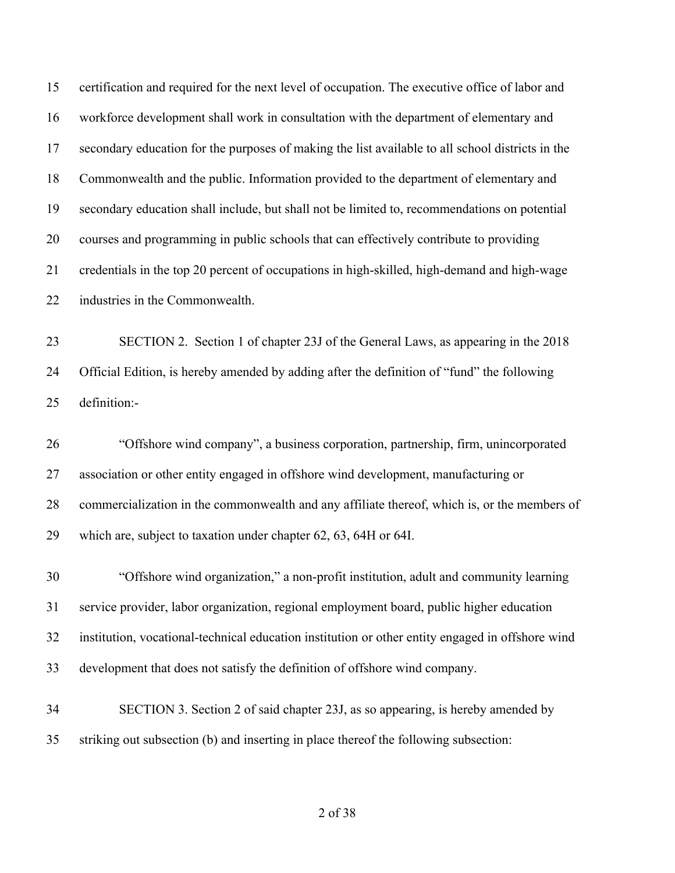certification and required for the next level of occupation. The executive office of labor and workforce development shall work in consultation with the department of elementary and secondary education for the purposes of making the list available to all school districts in the Commonwealth and the public. Information provided to the department of elementary and secondary education shall include, but shall not be limited to, recommendations on potential courses and programming in public schools that can effectively contribute to providing credentials in the top 20 percent of occupations in high-skilled, high-demand and high-wage industries in the Commonwealth.

 SECTION 2. Section 1 of chapter 23J of the General Laws, as appearing in the 2018 Official Edition, is hereby amended by adding after the definition of "fund" the following definition:-

 "Offshore wind company", a business corporation, partnership, firm, unincorporated association or other entity engaged in offshore wind development, manufacturing or commercialization in the commonwealth and any affiliate thereof, which is, or the members of which are, subject to taxation under chapter 62, 63, 64H or 64I.

 "Offshore wind organization," a non-profit institution, adult and community learning service provider, labor organization, regional employment board, public higher education institution, vocational-technical education institution or other entity engaged in offshore wind development that does not satisfy the definition of offshore wind company.

 SECTION 3. Section 2 of said chapter 23J, as so appearing, is hereby amended by striking out subsection (b) and inserting in place thereof the following subsection: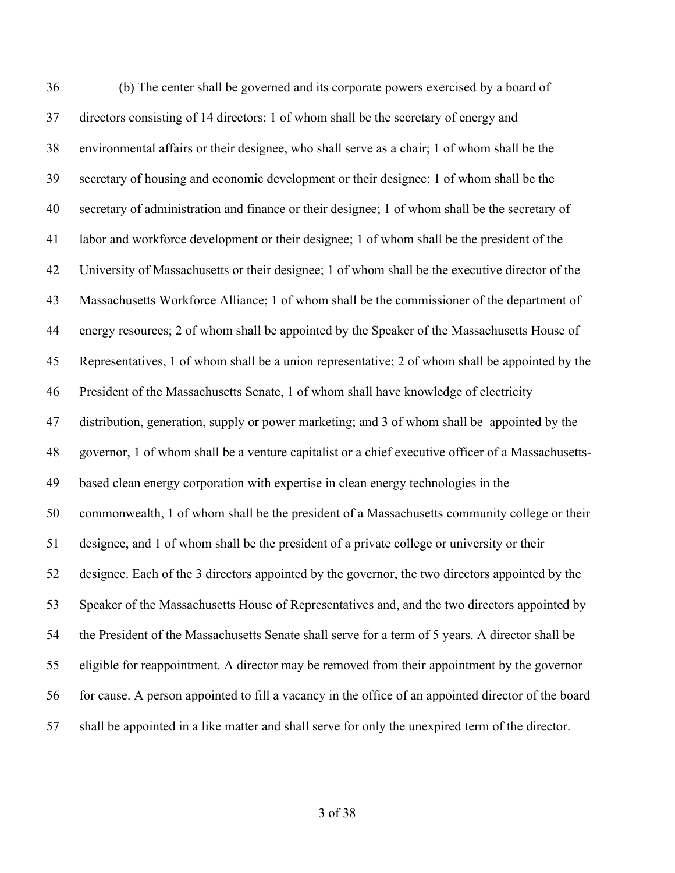(b) The center shall be governed and its corporate powers exercised by a board of directors consisting of 14 directors: 1 of whom shall be the secretary of energy and environmental affairs or their designee, who shall serve as a chair; 1 of whom shall be the secretary of housing and economic development or their designee; 1 of whom shall be the secretary of administration and finance or their designee; 1 of whom shall be the secretary of labor and workforce development or their designee; 1 of whom shall be the president of the University of Massachusetts or their designee; 1 of whom shall be the executive director of the Massachusetts Workforce Alliance; 1 of whom shall be the commissioner of the department of energy resources; 2 of whom shall be appointed by the Speaker of the Massachusetts House of Representatives, 1 of whom shall be a union representative; 2 of whom shall be appointed by the President of the Massachusetts Senate, 1 of whom shall have knowledge of electricity distribution, generation, supply or power marketing; and 3 of whom shall be appointed by the governor, 1 of whom shall be a venture capitalist or a chief executive officer of a Massachusetts- based clean energy corporation with expertise in clean energy technologies in the commonwealth, 1 of whom shall be the president of a Massachusetts community college or their designee, and 1 of whom shall be the president of a private college or university or their designee. Each of the 3 directors appointed by the governor, the two directors appointed by the Speaker of the Massachusetts House of Representatives and, and the two directors appointed by the President of the Massachusetts Senate shall serve for a term of 5 years. A director shall be eligible for reappointment. A director may be removed from their appointment by the governor for cause. A person appointed to fill a vacancy in the office of an appointed director of the board shall be appointed in a like matter and shall serve for only the unexpired term of the director.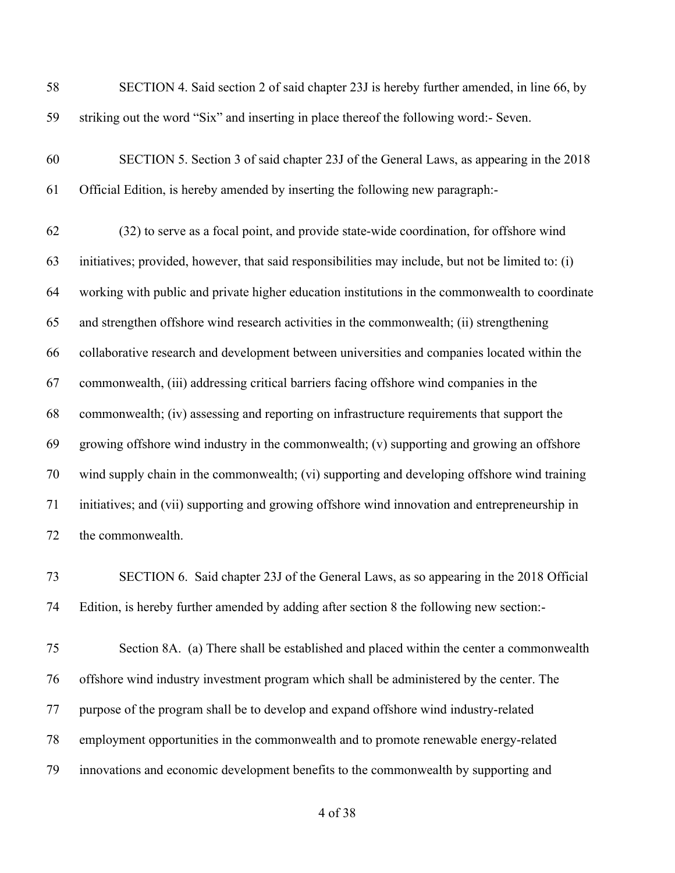| 58 | SECTION 4. Said section 2 of said chapter 23J is hereby further amended, in line 66, by            |
|----|----------------------------------------------------------------------------------------------------|
| 59 | striking out the word "Six" and inserting in place thereof the following word:- Seven.             |
| 60 | SECTION 5. Section 3 of said chapter 23J of the General Laws, as appearing in the 2018             |
| 61 | Official Edition, is hereby amended by inserting the following new paragraph:-                     |
| 62 | (32) to serve as a focal point, and provide state-wide coordination, for offshore wind             |
| 63 | initiatives; provided, however, that said responsibilities may include, but not be limited to: (i) |
| 64 | working with public and private higher education institutions in the commonwealth to coordinate    |
| 65 | and strengthen offshore wind research activities in the commonwealth; (ii) strengthening           |
| 66 | collaborative research and development between universities and companies located within the       |
| 67 | commonwealth, (iii) addressing critical barriers facing offshore wind companies in the             |
| 68 | commonwealth; (iv) assessing and reporting on infrastructure requirements that support the         |
| 69 | growing offshore wind industry in the commonwealth; (v) supporting and growing an offshore         |
| 70 | wind supply chain in the commonwealth; (vi) supporting and developing offshore wind training       |
| 71 | initiatives; and (vii) supporting and growing offshore wind innovation and entrepreneurship in     |
| 72 | the commonwealth.                                                                                  |
| 73 | SECTION 6. Said chapter 23J of the General Laws, as so appearing in the 2018 Official              |
| 74 | Edition, is hereby further amended by adding after section 8 the following new section:-           |
| 75 | Section 8A. (a) There shall be established and placed within the center a commonwealth             |
| 76 | offshore wind industry investment program which shall be administered by the center. The           |
| 77 | purpose of the program shall be to develop and expand offshore wind industry-related               |
| 78 | employment opportunities in the commonwealth and to promote renewable energy-related               |
| 79 | innovations and economic development benefits to the commonwealth by supporting and                |
|    |                                                                                                    |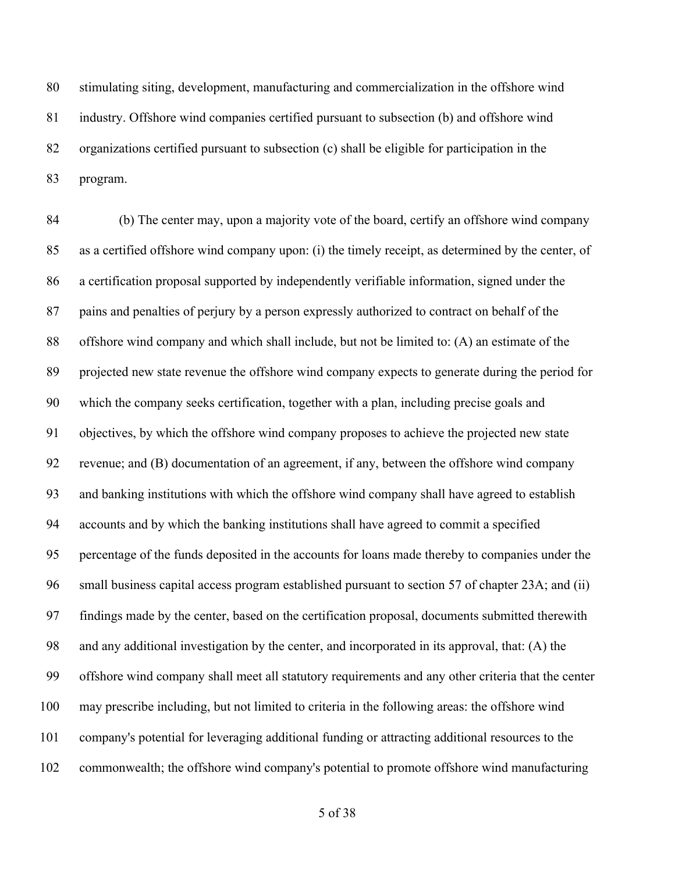stimulating siting, development, manufacturing and commercialization in the offshore wind industry. Offshore wind companies certified pursuant to subsection (b) and offshore wind organizations certified pursuant to subsection (c) shall be eligible for participation in the program.

 (b) The center may, upon a majority vote of the board, certify an offshore wind company as a certified offshore wind company upon: (i) the timely receipt, as determined by the center, of a certification proposal supported by independently verifiable information, signed under the pains and penalties of perjury by a person expressly authorized to contract on behalf of the offshore wind company and which shall include, but not be limited to: (A) an estimate of the projected new state revenue the offshore wind company expects to generate during the period for which the company seeks certification, together with a plan, including precise goals and objectives, by which the offshore wind company proposes to achieve the projected new state revenue; and (B) documentation of an agreement, if any, between the offshore wind company and banking institutions with which the offshore wind company shall have agreed to establish accounts and by which the banking institutions shall have agreed to commit a specified percentage of the funds deposited in the accounts for loans made thereby to companies under the small business capital access program established pursuant to section 57 of chapter 23A; and (ii) findings made by the center, based on the certification proposal, documents submitted therewith and any additional investigation by the center, and incorporated in its approval, that: (A) the offshore wind company shall meet all statutory requirements and any other criteria that the center may prescribe including, but not limited to criteria in the following areas: the offshore wind company's potential for leveraging additional funding or attracting additional resources to the commonwealth; the offshore wind company's potential to promote offshore wind manufacturing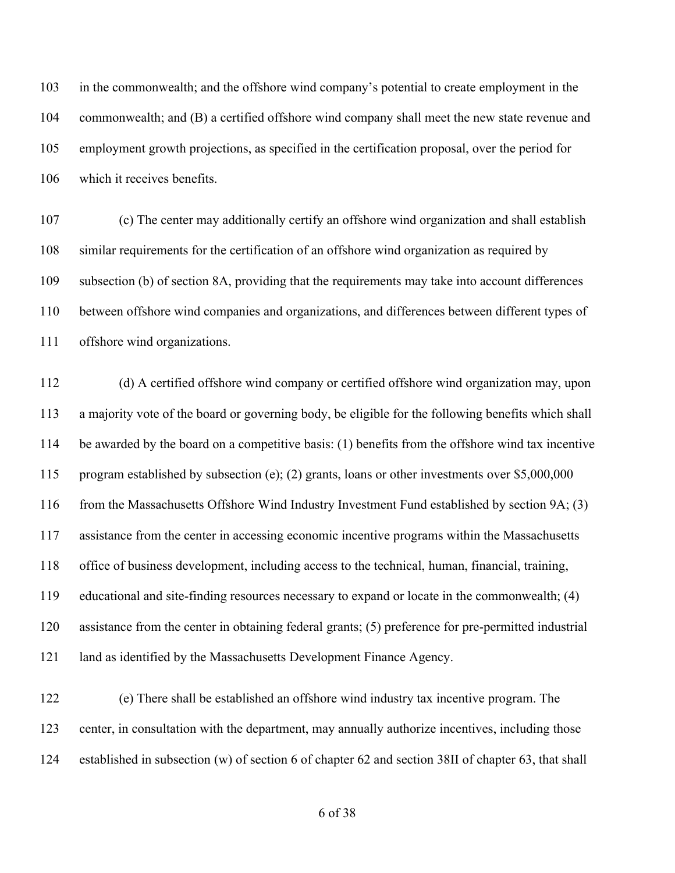in the commonwealth; and the offshore wind company's potential to create employment in the commonwealth; and (B) a certified offshore wind company shall meet the new state revenue and employment growth projections, as specified in the certification proposal, over the period for which it receives benefits.

 (c) The center may additionally certify an offshore wind organization and shall establish similar requirements for the certification of an offshore wind organization as required by subsection (b) of section 8A, providing that the requirements may take into account differences between offshore wind companies and organizations, and differences between different types of offshore wind organizations.

 (d) A certified offshore wind company or certified offshore wind organization may, upon a majority vote of the board or governing body, be eligible for the following benefits which shall be awarded by the board on a competitive basis: (1) benefits from the offshore wind tax incentive program established by subsection (e); (2) grants, loans or other investments over \$5,000,000 from the Massachusetts Offshore Wind Industry Investment Fund established by section 9A; (3) assistance from the center in accessing economic incentive programs within the Massachusetts office of business development, including access to the technical, human, financial, training, educational and site-finding resources necessary to expand or locate in the commonwealth; (4) assistance from the center in obtaining federal grants; (5) preference for pre-permitted industrial land as identified by the Massachusetts Development Finance Agency.

 (e) There shall be established an offshore wind industry tax incentive program. The center, in consultation with the department, may annually authorize incentives, including those established in subsection (w) of section 6 of chapter 62 and section 38II of chapter 63, that shall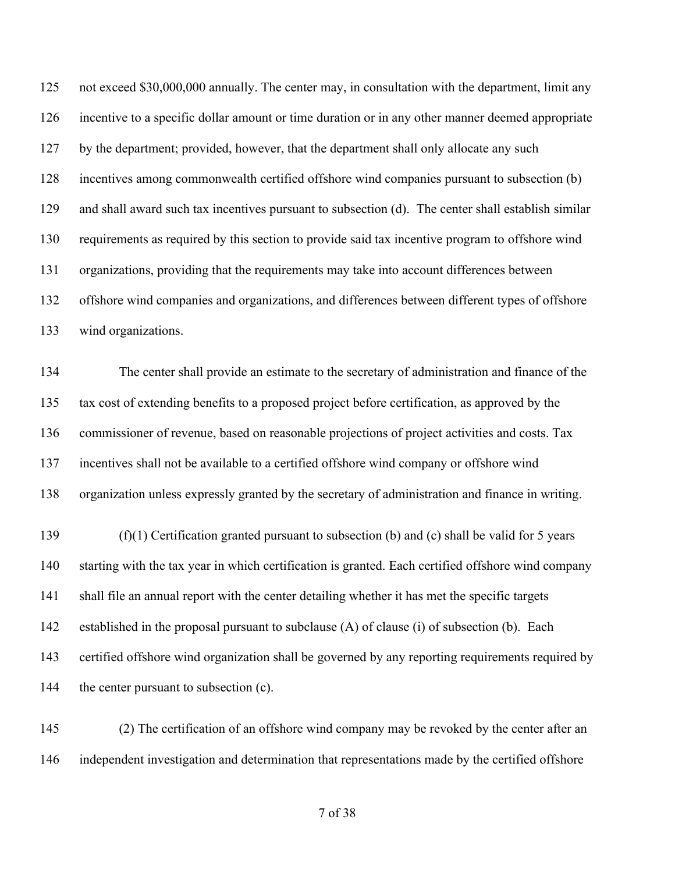not exceed \$30,000,000 annually. The center may, in consultation with the department, limit any incentive to a specific dollar amount or time duration or in any other manner deemed appropriate by the department; provided, however, that the department shall only allocate any such incentives among commonwealth certified offshore wind companies pursuant to subsection (b) and shall award such tax incentives pursuant to subsection (d). The center shall establish similar requirements as required by this section to provide said tax incentive program to offshore wind organizations, providing that the requirements may take into account differences between offshore wind companies and organizations, and differences between different types of offshore wind organizations.

 The center shall provide an estimate to the secretary of administration and finance of the tax cost of extending benefits to a proposed project before certification, as approved by the commissioner of revenue, based on reasonable projections of project activities and costs. Tax incentives shall not be available to a certified offshore wind company or offshore wind organization unless expressly granted by the secretary of administration and finance in writing.

 (f)(1) Certification granted pursuant to subsection (b) and (c) shall be valid for 5 years starting with the tax year in which certification is granted. Each certified offshore wind company shall file an annual report with the center detailing whether it has met the specific targets established in the proposal pursuant to subclause (A) of clause (i) of subsection (b). Each certified offshore wind organization shall be governed by any reporting requirements required by 144 the center pursuant to subsection (c).

 (2) The certification of an offshore wind company may be revoked by the center after an independent investigation and determination that representations made by the certified offshore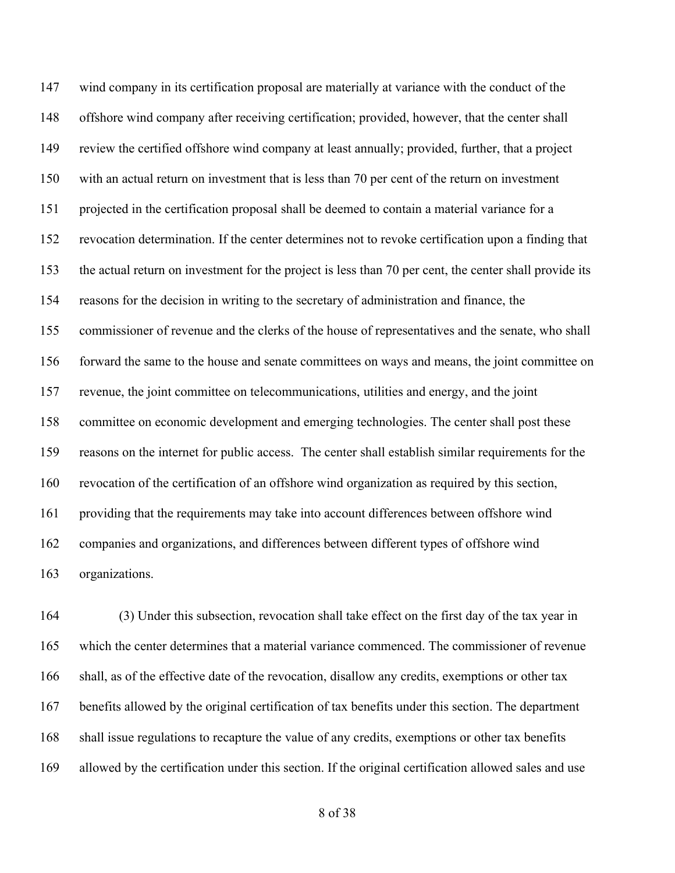wind company in its certification proposal are materially at variance with the conduct of the offshore wind company after receiving certification; provided, however, that the center shall review the certified offshore wind company at least annually; provided, further, that a project with an actual return on investment that is less than 70 per cent of the return on investment projected in the certification proposal shall be deemed to contain a material variance for a revocation determination. If the center determines not to revoke certification upon a finding that the actual return on investment for the project is less than 70 per cent, the center shall provide its reasons for the decision in writing to the secretary of administration and finance, the commissioner of revenue and the clerks of the house of representatives and the senate, who shall forward the same to the house and senate committees on ways and means, the joint committee on revenue, the joint committee on telecommunications, utilities and energy, and the joint committee on economic development and emerging technologies. The center shall post these reasons on the internet for public access. The center shall establish similar requirements for the revocation of the certification of an offshore wind organization as required by this section, providing that the requirements may take into account differences between offshore wind companies and organizations, and differences between different types of offshore wind organizations.

 (3) Under this subsection, revocation shall take effect on the first day of the tax year in which the center determines that a material variance commenced. The commissioner of revenue shall, as of the effective date of the revocation, disallow any credits, exemptions or other tax benefits allowed by the original certification of tax benefits under this section. The department shall issue regulations to recapture the value of any credits, exemptions or other tax benefits allowed by the certification under this section. If the original certification allowed sales and use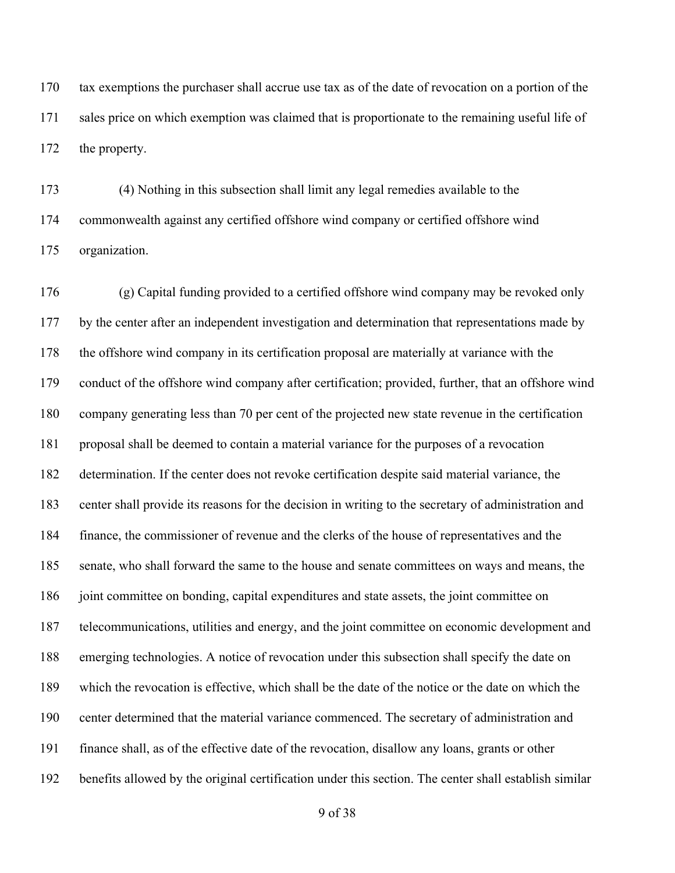tax exemptions the purchaser shall accrue use tax as of the date of revocation on a portion of the sales price on which exemption was claimed that is proportionate to the remaining useful life of the property.

 (4) Nothing in this subsection shall limit any legal remedies available to the commonwealth against any certified offshore wind company or certified offshore wind organization.

 (g) Capital funding provided to a certified offshore wind company may be revoked only by the center after an independent investigation and determination that representations made by the offshore wind company in its certification proposal are materially at variance with the conduct of the offshore wind company after certification; provided, further, that an offshore wind company generating less than 70 per cent of the projected new state revenue in the certification proposal shall be deemed to contain a material variance for the purposes of a revocation determination. If the center does not revoke certification despite said material variance, the center shall provide its reasons for the decision in writing to the secretary of administration and finance, the commissioner of revenue and the clerks of the house of representatives and the senate, who shall forward the same to the house and senate committees on ways and means, the joint committee on bonding, capital expenditures and state assets, the joint committee on telecommunications, utilities and energy, and the joint committee on economic development and emerging technologies. A notice of revocation under this subsection shall specify the date on which the revocation is effective, which shall be the date of the notice or the date on which the center determined that the material variance commenced. The secretary of administration and finance shall, as of the effective date of the revocation, disallow any loans, grants or other benefits allowed by the original certification under this section. The center shall establish similar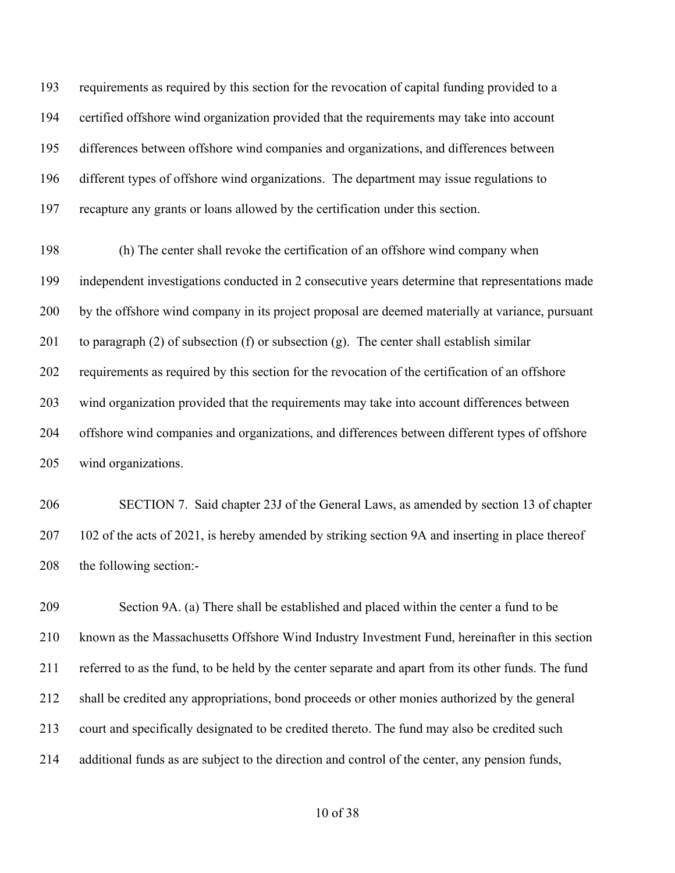requirements as required by this section for the revocation of capital funding provided to a certified offshore wind organization provided that the requirements may take into account differences between offshore wind companies and organizations, and differences between different types of offshore wind organizations. The department may issue regulations to recapture any grants or loans allowed by the certification under this section.

 (h) The center shall revoke the certification of an offshore wind company when independent investigations conducted in 2 consecutive years determine that representations made by the offshore wind company in its project proposal are deemed materially at variance, pursuant 201 to paragraph (2) of subsection (f) or subsection (g). The center shall establish similar requirements as required by this section for the revocation of the certification of an offshore wind organization provided that the requirements may take into account differences between offshore wind companies and organizations, and differences between different types of offshore wind organizations.

 SECTION 7. Said chapter 23J of the General Laws, as amended by section 13 of chapter 102 of the acts of 2021, is hereby amended by striking section 9A and inserting in place thereof the following section:-

 Section 9A. (a) There shall be established and placed within the center a fund to be known as the Massachusetts Offshore Wind Industry Investment Fund, hereinafter in this section referred to as the fund, to be held by the center separate and apart from its other funds. The fund shall be credited any appropriations, bond proceeds or other monies authorized by the general court and specifically designated to be credited thereto. The fund may also be credited such additional funds as are subject to the direction and control of the center, any pension funds,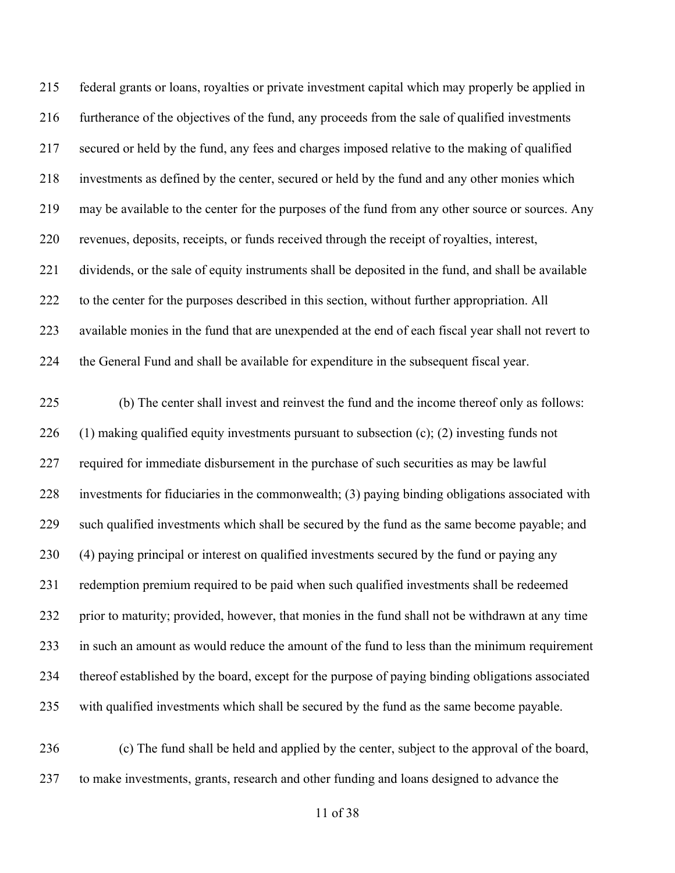federal grants or loans, royalties or private investment capital which may properly be applied in furtherance of the objectives of the fund, any proceeds from the sale of qualified investments secured or held by the fund, any fees and charges imposed relative to the making of qualified investments as defined by the center, secured or held by the fund and any other monies which may be available to the center for the purposes of the fund from any other source or sources. Any revenues, deposits, receipts, or funds received through the receipt of royalties, interest, dividends, or the sale of equity instruments shall be deposited in the fund, and shall be available to the center for the purposes described in this section, without further appropriation. All available monies in the fund that are unexpended at the end of each fiscal year shall not revert to the General Fund and shall be available for expenditure in the subsequent fiscal year.

 (b) The center shall invest and reinvest the fund and the income thereof only as follows: 226 (1) making qualified equity investments pursuant to subsection  $(c)$ ; (2) investing funds not required for immediate disbursement in the purchase of such securities as may be lawful investments for fiduciaries in the commonwealth; (3) paying binding obligations associated with such qualified investments which shall be secured by the fund as the same become payable; and (4) paying principal or interest on qualified investments secured by the fund or paying any redemption premium required to be paid when such qualified investments shall be redeemed prior to maturity; provided, however, that monies in the fund shall not be withdrawn at any time in such an amount as would reduce the amount of the fund to less than the minimum requirement thereof established by the board, except for the purpose of paying binding obligations associated with qualified investments which shall be secured by the fund as the same become payable.

 (c) The fund shall be held and applied by the center, subject to the approval of the board, to make investments, grants, research and other funding and loans designed to advance the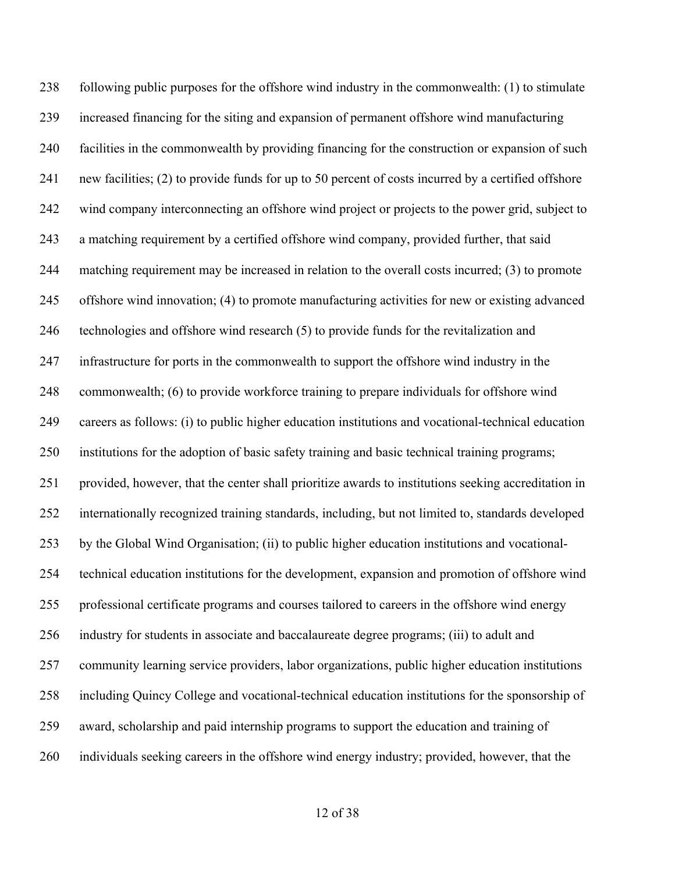following public purposes for the offshore wind industry in the commonwealth: (1) to stimulate increased financing for the siting and expansion of permanent offshore wind manufacturing facilities in the commonwealth by providing financing for the construction or expansion of such new facilities; (2) to provide funds for up to 50 percent of costs incurred by a certified offshore wind company interconnecting an offshore wind project or projects to the power grid, subject to a matching requirement by a certified offshore wind company, provided further, that said matching requirement may be increased in relation to the overall costs incurred; (3) to promote offshore wind innovation; (4) to promote manufacturing activities for new or existing advanced technologies and offshore wind research (5) to provide funds for the revitalization and infrastructure for ports in the commonwealth to support the offshore wind industry in the commonwealth; (6) to provide workforce training to prepare individuals for offshore wind careers as follows: (i) to public higher education institutions and vocational-technical education institutions for the adoption of basic safety training and basic technical training programs; provided, however, that the center shall prioritize awards to institutions seeking accreditation in internationally recognized training standards, including, but not limited to, standards developed by the Global Wind Organisation; (ii) to public higher education institutions and vocational- technical education institutions for the development, expansion and promotion of offshore wind professional certificate programs and courses tailored to careers in the offshore wind energy industry for students in associate and baccalaureate degree programs; (iii) to adult and community learning service providers, labor organizations, public higher education institutions including Quincy College and vocational-technical education institutions for the sponsorship of award, scholarship and paid internship programs to support the education and training of individuals seeking careers in the offshore wind energy industry; provided, however, that the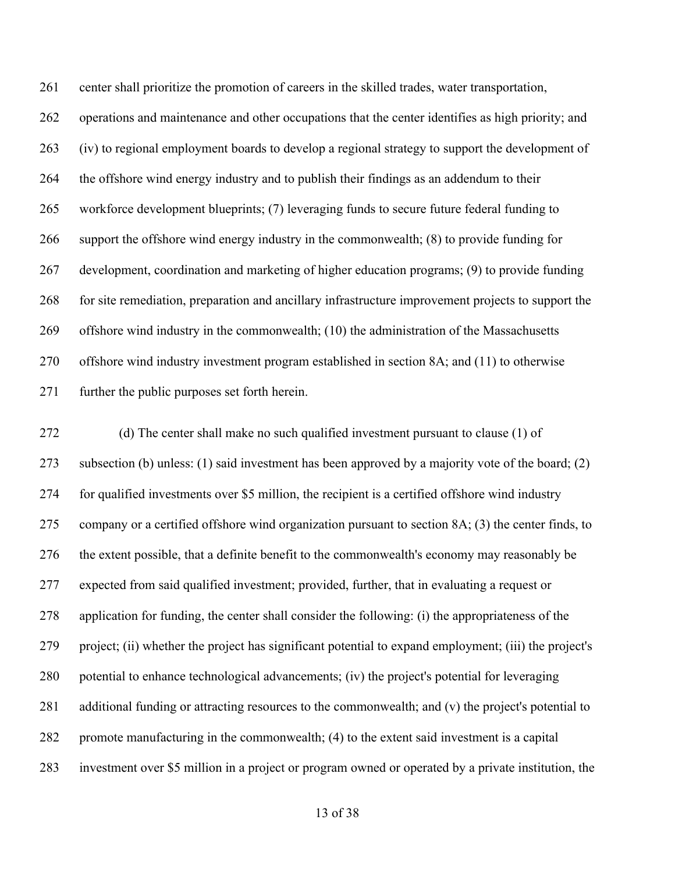center shall prioritize the promotion of careers in the skilled trades, water transportation, operations and maintenance and other occupations that the center identifies as high priority; and (iv) to regional employment boards to develop a regional strategy to support the development of the offshore wind energy industry and to publish their findings as an addendum to their workforce development blueprints; (7) leveraging funds to secure future federal funding to support the offshore wind energy industry in the commonwealth; (8) to provide funding for development, coordination and marketing of higher education programs; (9) to provide funding for site remediation, preparation and ancillary infrastructure improvement projects to support the offshore wind industry in the commonwealth; (10) the administration of the Massachusetts offshore wind industry investment program established in section 8A; and (11) to otherwise further the public purposes set forth herein.

 (d) The center shall make no such qualified investment pursuant to clause (1) of subsection (b) unless: (1) said investment has been approved by a majority vote of the board; (2) for qualified investments over \$5 million, the recipient is a certified offshore wind industry company or a certified offshore wind organization pursuant to section 8A; (3) the center finds, to the extent possible, that a definite benefit to the commonwealth's economy may reasonably be expected from said qualified investment; provided, further, that in evaluating a request or application for funding, the center shall consider the following: (i) the appropriateness of the project; (ii) whether the project has significant potential to expand employment; (iii) the project's potential to enhance technological advancements; (iv) the project's potential for leveraging additional funding or attracting resources to the commonwealth; and (v) the project's potential to promote manufacturing in the commonwealth; (4) to the extent said investment is a capital investment over \$5 million in a project or program owned or operated by a private institution, the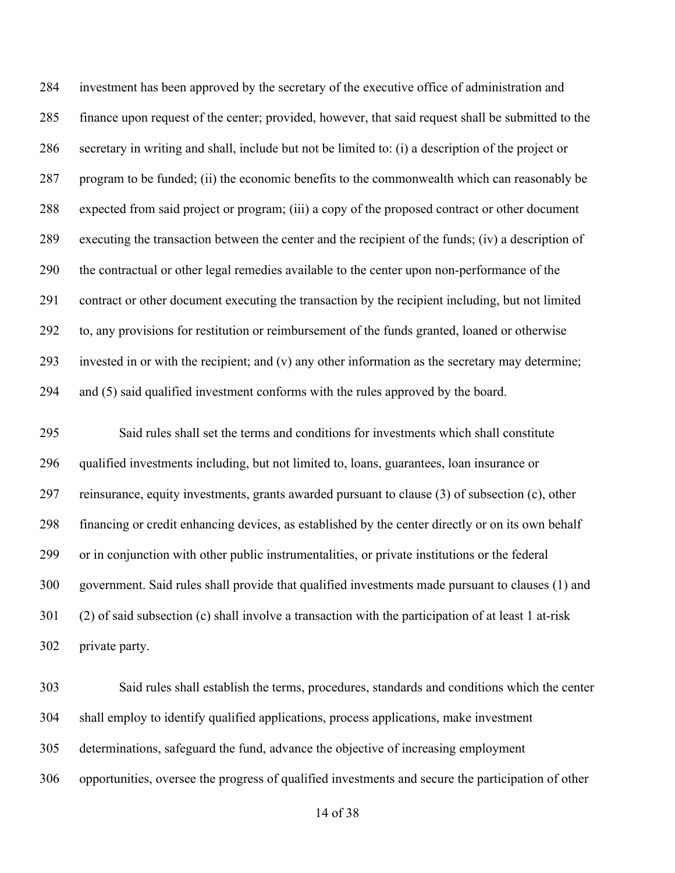investment has been approved by the secretary of the executive office of administration and finance upon request of the center; provided, however, that said request shall be submitted to the secretary in writing and shall, include but not be limited to: (i) a description of the project or program to be funded; (ii) the economic benefits to the commonwealth which can reasonably be expected from said project or program; (iii) a copy of the proposed contract or other document executing the transaction between the center and the recipient of the funds; (iv) a description of the contractual or other legal remedies available to the center upon non-performance of the contract or other document executing the transaction by the recipient including, but not limited to, any provisions for restitution or reimbursement of the funds granted, loaned or otherwise invested in or with the recipient; and (v) any other information as the secretary may determine; and (5) said qualified investment conforms with the rules approved by the board.

 Said rules shall set the terms and conditions for investments which shall constitute qualified investments including, but not limited to, loans, guarantees, loan insurance or reinsurance, equity investments, grants awarded pursuant to clause (3) of subsection (c), other financing or credit enhancing devices, as established by the center directly or on its own behalf or in conjunction with other public instrumentalities, or private institutions or the federal government. Said rules shall provide that qualified investments made pursuant to clauses (1) and (2) of said subsection (c) shall involve a transaction with the participation of at least 1 at-risk private party.

 Said rules shall establish the terms, procedures, standards and conditions which the center shall employ to identify qualified applications, process applications, make investment determinations, safeguard the fund, advance the objective of increasing employment opportunities, oversee the progress of qualified investments and secure the participation of other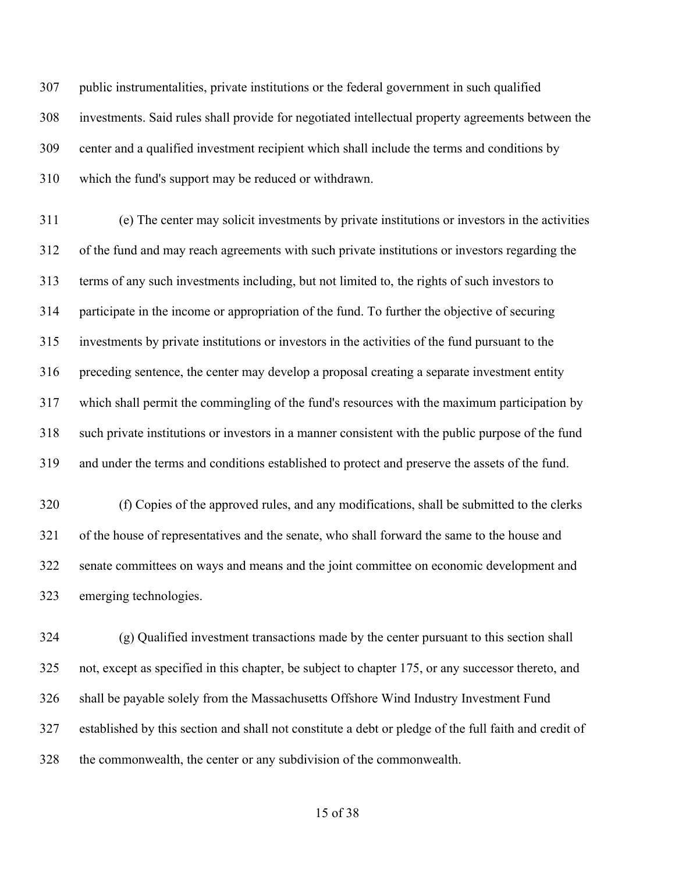public instrumentalities, private institutions or the federal government in such qualified investments. Said rules shall provide for negotiated intellectual property agreements between the center and a qualified investment recipient which shall include the terms and conditions by which the fund's support may be reduced or withdrawn.

 (e) The center may solicit investments by private institutions or investors in the activities of the fund and may reach agreements with such private institutions or investors regarding the terms of any such investments including, but not limited to, the rights of such investors to participate in the income or appropriation of the fund. To further the objective of securing investments by private institutions or investors in the activities of the fund pursuant to the preceding sentence, the center may develop a proposal creating a separate investment entity which shall permit the commingling of the fund's resources with the maximum participation by such private institutions or investors in a manner consistent with the public purpose of the fund and under the terms and conditions established to protect and preserve the assets of the fund.

 (f) Copies of the approved rules, and any modifications, shall be submitted to the clerks of the house of representatives and the senate, who shall forward the same to the house and senate committees on ways and means and the joint committee on economic development and emerging technologies.

 (g) Qualified investment transactions made by the center pursuant to this section shall not, except as specified in this chapter, be subject to chapter 175, or any successor thereto, and shall be payable solely from the Massachusetts Offshore Wind Industry Investment Fund established by this section and shall not constitute a debt or pledge of the full faith and credit of the commonwealth, the center or any subdivision of the commonwealth.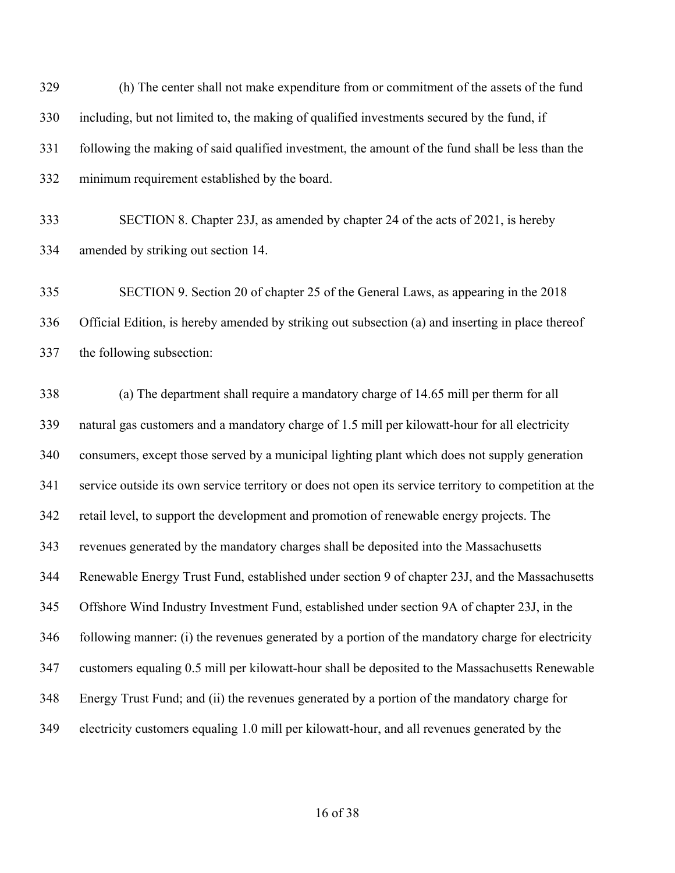(h) The center shall not make expenditure from or commitment of the assets of the fund including, but not limited to, the making of qualified investments secured by the fund, if following the making of said qualified investment, the amount of the fund shall be less than the minimum requirement established by the board.

 SECTION 8. Chapter 23J, as amended by chapter 24 of the acts of 2021, is hereby amended by striking out section 14.

 SECTION 9. Section 20 of chapter 25 of the General Laws, as appearing in the 2018 Official Edition, is hereby amended by striking out subsection (a) and inserting in place thereof the following subsection:

 (a) The department shall require a mandatory charge of 14.65 mill per therm for all natural gas customers and a mandatory charge of 1.5 mill per kilowatt-hour for all electricity consumers, except those served by a municipal lighting plant which does not supply generation service outside its own service territory or does not open its service territory to competition at the retail level, to support the development and promotion of renewable energy projects. The revenues generated by the mandatory charges shall be deposited into the Massachusetts Renewable Energy Trust Fund, established under section 9 of chapter 23J, and the Massachusetts Offshore Wind Industry Investment Fund, established under section 9A of chapter 23J, in the following manner: (i) the revenues generated by a portion of the mandatory charge for electricity customers equaling 0.5 mill per kilowatt-hour shall be deposited to the Massachusetts Renewable Energy Trust Fund; and (ii) the revenues generated by a portion of the mandatory charge for electricity customers equaling 1.0 mill per kilowatt-hour, and all revenues generated by the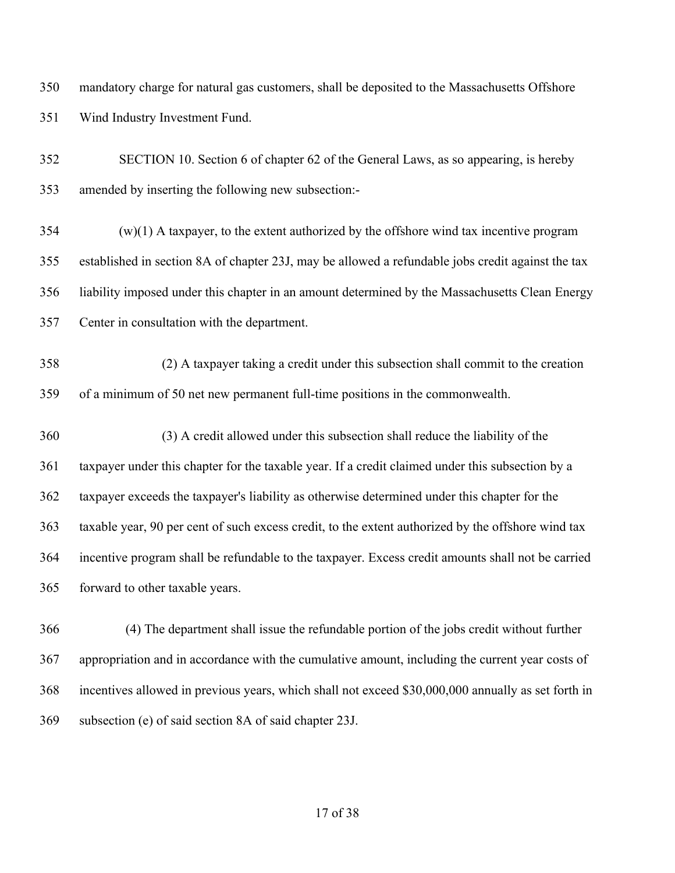mandatory charge for natural gas customers, shall be deposited to the Massachusetts Offshore Wind Industry Investment Fund.

 SECTION 10. Section 6 of chapter 62 of the General Laws, as so appearing, is hereby amended by inserting the following new subsection:-

 (w)(1) A taxpayer, to the extent authorized by the offshore wind tax incentive program established in section 8A of chapter 23J, may be allowed a refundable jobs credit against the tax liability imposed under this chapter in an amount determined by the Massachusetts Clean Energy Center in consultation with the department.

 (2) A taxpayer taking a credit under this subsection shall commit to the creation of a minimum of 50 net new permanent full-time positions in the commonwealth.

- (3) A credit allowed under this subsection shall reduce the liability of the taxpayer under this chapter for the taxable year. If a credit claimed under this subsection by a taxpayer exceeds the taxpayer's liability as otherwise determined under this chapter for the taxable year, 90 per cent of such excess credit, to the extent authorized by the offshore wind tax incentive program shall be refundable to the taxpayer. Excess credit amounts shall not be carried forward to other taxable years.
- 366 (4) The department shall issue the refundable portion of the jobs credit without further appropriation and in accordance with the cumulative amount, including the current year costs of incentives allowed in previous years, which shall not exceed \$30,000,000 annually as set forth in subsection (e) of said section 8A of said chapter 23J.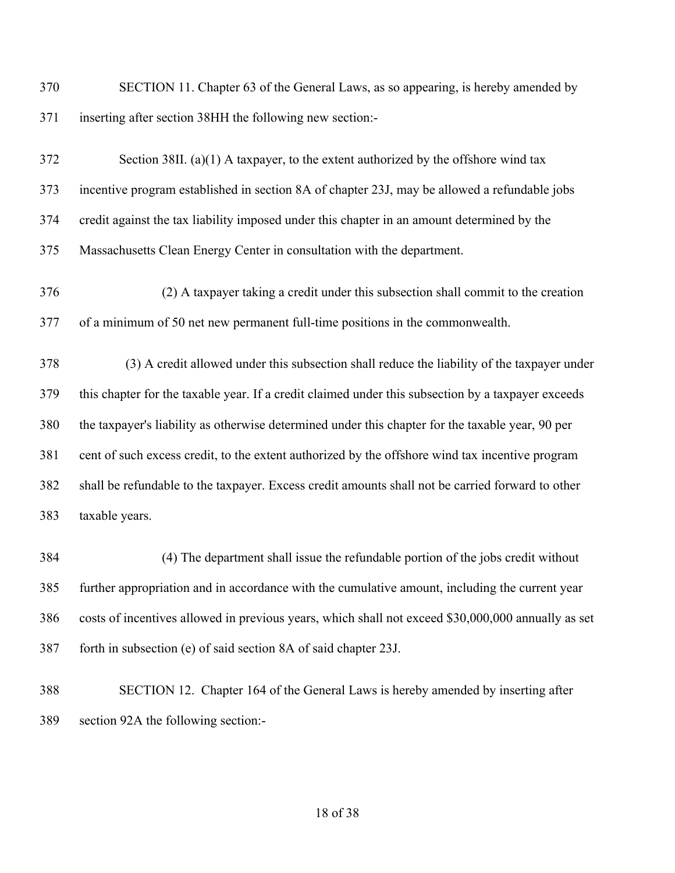SECTION 11. Chapter 63 of the General Laws, as so appearing, is hereby amended by inserting after section 38HH the following new section:-

| 372 | Section 38II. (a) $(1)$ A taxpayer, to the extent authorized by the offshore wind tax              |
|-----|----------------------------------------------------------------------------------------------------|
| 373 | incentive program established in section 8A of chapter 23J, may be allowed a refundable jobs       |
| 374 | credit against the tax liability imposed under this chapter in an amount determined by the         |
| 375 | Massachusetts Clean Energy Center in consultation with the department.                             |
| 376 | (2) A taxpayer taking a credit under this subsection shall commit to the creation                  |
| 377 | of a minimum of 50 net new permanent full-time positions in the commonwealth.                      |
| 378 | (3) A credit allowed under this subsection shall reduce the liability of the taxpayer under        |
| 379 | this chapter for the taxable year. If a credit claimed under this subsection by a taxpayer exceeds |
| 380 | the taxpayer's liability as otherwise determined under this chapter for the taxable year, 90 per   |
| 381 | cent of such excess credit, to the extent authorized by the offshore wind tax incentive program    |
| 382 | shall be refundable to the taxpayer. Excess credit amounts shall not be carried forward to other   |
| 383 | taxable years.                                                                                     |
| 384 | (4) The department shall issue the refundable portion of the jobs credit without                   |

 (4) The department shall issue the refundable portion of the jobs credit without further appropriation and in accordance with the cumulative amount, including the current year costs of incentives allowed in previous years, which shall not exceed \$30,000,000 annually as set forth in subsection (e) of said section 8A of said chapter 23J.

 SECTION 12. Chapter 164 of the General Laws is hereby amended by inserting after section 92A the following section:-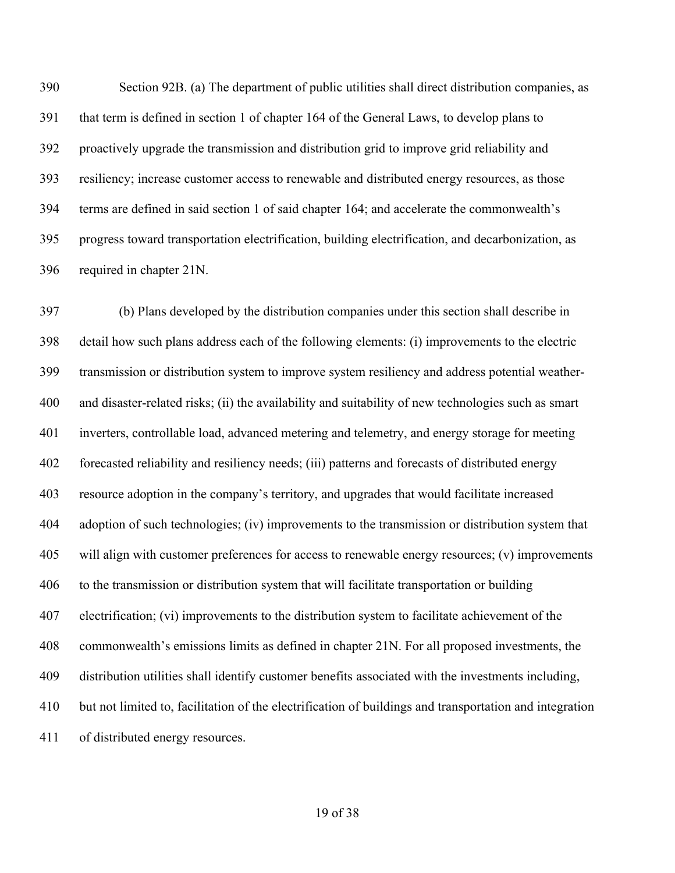Section 92B. (a) The department of public utilities shall direct distribution companies, as that term is defined in section 1 of chapter 164 of the General Laws, to develop plans to proactively upgrade the transmission and distribution grid to improve grid reliability and resiliency; increase customer access to renewable and distributed energy resources, as those terms are defined in said section 1 of said chapter 164; and accelerate the commonwealth's progress toward transportation electrification, building electrification, and decarbonization, as required in chapter 21N.

 (b) Plans developed by the distribution companies under this section shall describe in detail how such plans address each of the following elements: (i) improvements to the electric transmission or distribution system to improve system resiliency and address potential weather- and disaster-related risks; (ii) the availability and suitability of new technologies such as smart inverters, controllable load, advanced metering and telemetry, and energy storage for meeting forecasted reliability and resiliency needs; (iii) patterns and forecasts of distributed energy resource adoption in the company's territory, and upgrades that would facilitate increased adoption of such technologies; (iv) improvements to the transmission or distribution system that will align with customer preferences for access to renewable energy resources; (v) improvements to the transmission or distribution system that will facilitate transportation or building electrification; (vi) improvements to the distribution system to facilitate achievement of the commonwealth's emissions limits as defined in chapter 21N. For all proposed investments, the distribution utilities shall identify customer benefits associated with the investments including, but not limited to, facilitation of the electrification of buildings and transportation and integration of distributed energy resources.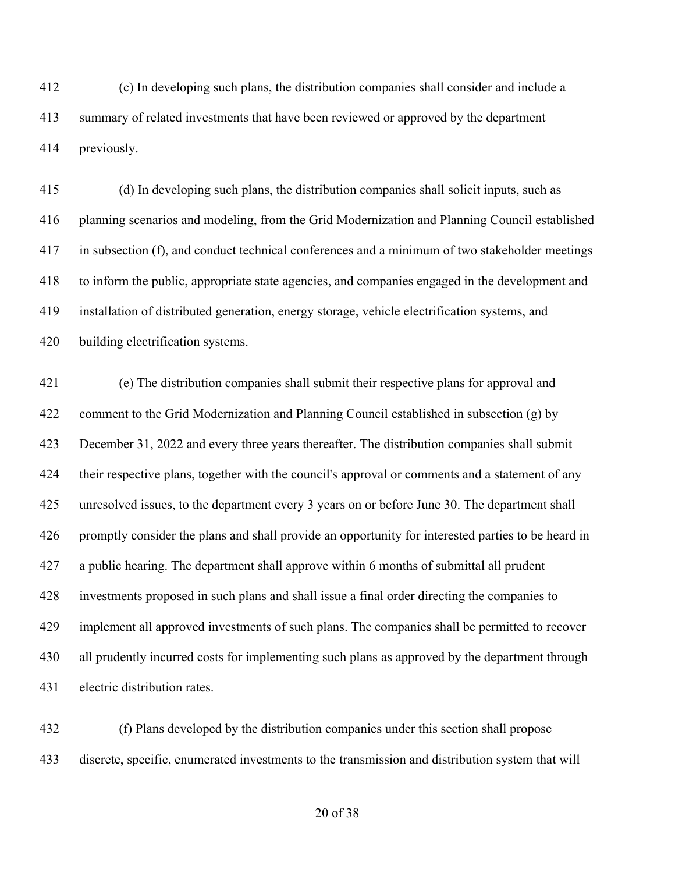(c) In developing such plans, the distribution companies shall consider and include a summary of related investments that have been reviewed or approved by the department previously.

 (d) In developing such plans, the distribution companies shall solicit inputs, such as planning scenarios and modeling, from the Grid Modernization and Planning Council established in subsection (f), and conduct technical conferences and a minimum of two stakeholder meetings to inform the public, appropriate state agencies, and companies engaged in the development and installation of distributed generation, energy storage, vehicle electrification systems, and building electrification systems.

 (e) The distribution companies shall submit their respective plans for approval and comment to the Grid Modernization and Planning Council established in subsection (g) by December 31, 2022 and every three years thereafter. The distribution companies shall submit their respective plans, together with the council's approval or comments and a statement of any unresolved issues, to the department every 3 years on or before June 30. The department shall promptly consider the plans and shall provide an opportunity for interested parties to be heard in a public hearing. The department shall approve within 6 months of submittal all prudent investments proposed in such plans and shall issue a final order directing the companies to implement all approved investments of such plans. The companies shall be permitted to recover 430 all prudently incurred costs for implementing such plans as approved by the department through electric distribution rates.

 (f) Plans developed by the distribution companies under this section shall propose discrete, specific, enumerated investments to the transmission and distribution system that will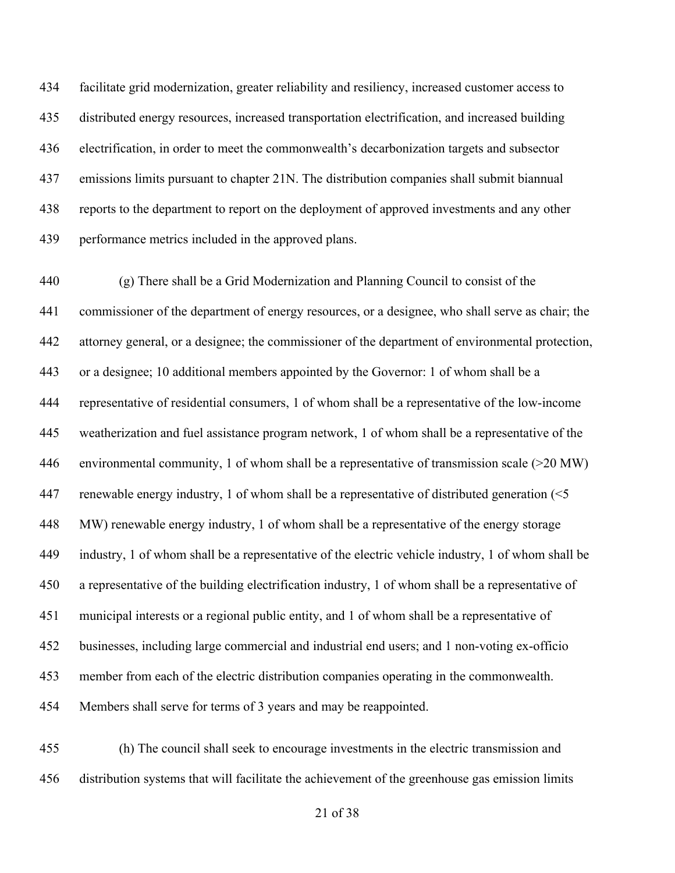facilitate grid modernization, greater reliability and resiliency, increased customer access to distributed energy resources, increased transportation electrification, and increased building electrification, in order to meet the commonwealth's decarbonization targets and subsector emissions limits pursuant to chapter 21N. The distribution companies shall submit biannual reports to the department to report on the deployment of approved investments and any other performance metrics included in the approved plans.

 (g) There shall be a Grid Modernization and Planning Council to consist of the commissioner of the department of energy resources, or a designee, who shall serve as chair; the attorney general, or a designee; the commissioner of the department of environmental protection, or a designee; 10 additional members appointed by the Governor: 1 of whom shall be a representative of residential consumers, 1 of whom shall be a representative of the low-income weatherization and fuel assistance program network, 1 of whom shall be a representative of the environmental community, 1 of whom shall be a representative of transmission scale (>20 MW) renewable energy industry, 1 of whom shall be a representative of distributed generation (<5 MW) renewable energy industry, 1 of whom shall be a representative of the energy storage industry, 1 of whom shall be a representative of the electric vehicle industry, 1 of whom shall be a representative of the building electrification industry, 1 of whom shall be a representative of municipal interests or a regional public entity, and 1 of whom shall be a representative of businesses, including large commercial and industrial end users; and 1 non-voting ex-officio member from each of the electric distribution companies operating in the commonwealth. Members shall serve for terms of 3 years and may be reappointed.

 (h) The council shall seek to encourage investments in the electric transmission and distribution systems that will facilitate the achievement of the greenhouse gas emission limits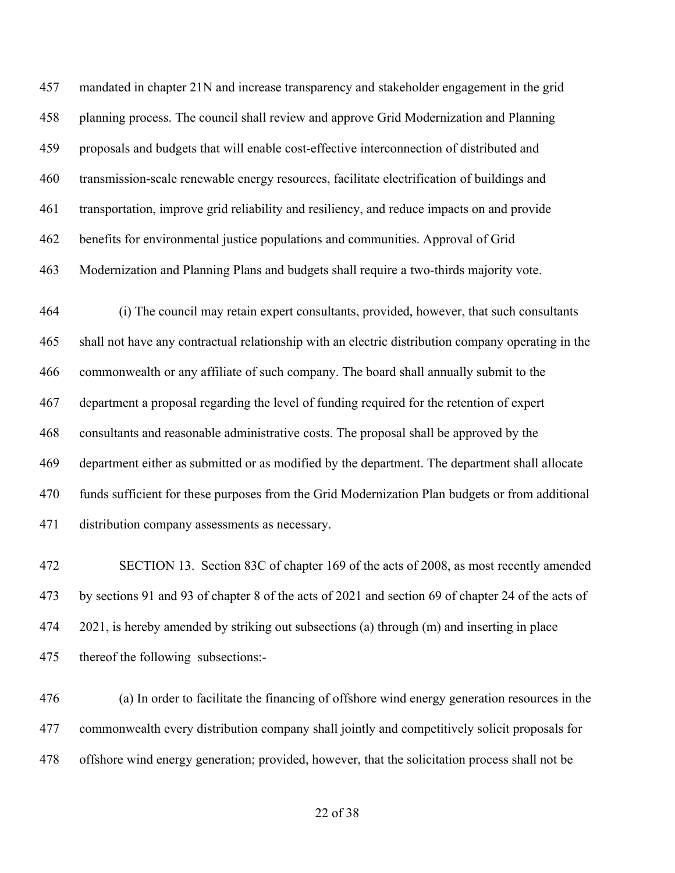mandated in chapter 21N and increase transparency and stakeholder engagement in the grid planning process. The council shall review and approve Grid Modernization and Planning proposals and budgets that will enable cost-effective interconnection of distributed and transmission-scale renewable energy resources, facilitate electrification of buildings and transportation, improve grid reliability and resiliency, and reduce impacts on and provide benefits for environmental justice populations and communities. Approval of Grid Modernization and Planning Plans and budgets shall require a two-thirds majority vote.

 (i) The council may retain expert consultants, provided, however, that such consultants shall not have any contractual relationship with an electric distribution company operating in the commonwealth or any affiliate of such company. The board shall annually submit to the department a proposal regarding the level of funding required for the retention of expert consultants and reasonable administrative costs. The proposal shall be approved by the department either as submitted or as modified by the department. The department shall allocate funds sufficient for these purposes from the Grid Modernization Plan budgets or from additional distribution company assessments as necessary.

 SECTION 13. Section 83C of chapter 169 of the acts of 2008, as most recently amended by sections 91 and 93 of chapter 8 of the acts of 2021 and section 69 of chapter 24 of the acts of 474 2021, is hereby amended by striking out subsections (a) through (m) and inserting in place thereof the following subsections:-

 (a) In order to facilitate the financing of offshore wind energy generation resources in the commonwealth every distribution company shall jointly and competitively solicit proposals for offshore wind energy generation; provided, however, that the solicitation process shall not be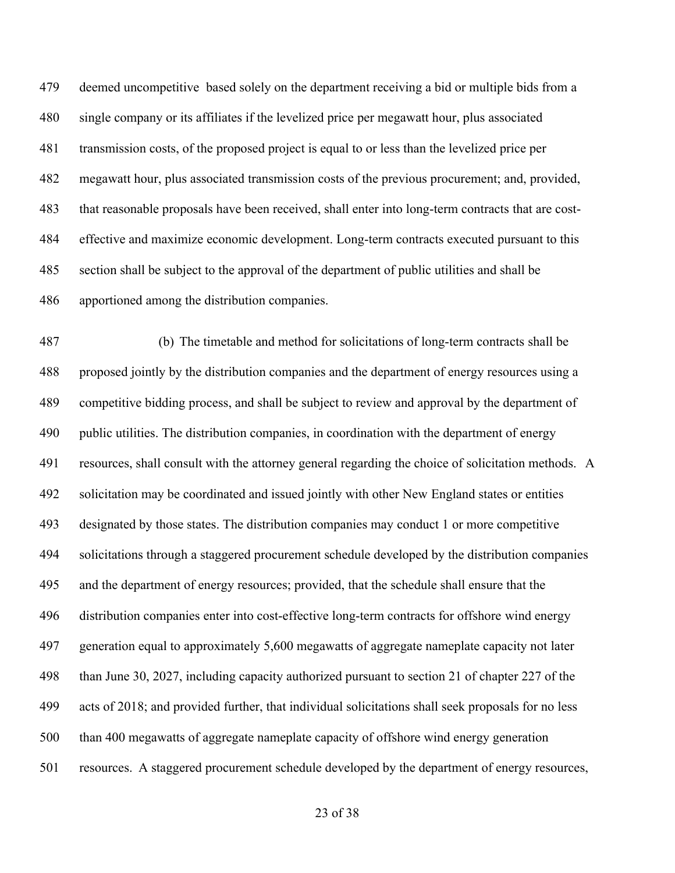deemed uncompetitive based solely on the department receiving a bid or multiple bids from a single company or its affiliates if the levelized price per megawatt hour, plus associated transmission costs, of the proposed project is equal to or less than the levelized price per megawatt hour, plus associated transmission costs of the previous procurement; and, provided, that reasonable proposals have been received, shall enter into long-term contracts that are cost- effective and maximize economic development. Long-term contracts executed pursuant to this section shall be subject to the approval of the department of public utilities and shall be apportioned among the distribution companies. 

       (b)  The timetable and method for solicitations of long-term contracts shall be proposed jointly by the distribution companies and the department of energy resources using a competitive bidding process, and shall be subject to review and approval by the department of public utilities. The distribution companies, in coordination with the department of energy resources, shall consult with the attorney general regarding the choice of solicitation methods.   A solicitation may be coordinated and issued jointly with other New England states or entities designated by those states. The distribution companies may conduct 1 or more competitive solicitations through a staggered procurement schedule developed by the distribution companies and the department of energy resources; provided, that the schedule shall ensure that the distribution companies enter into cost-effective long-term contracts for offshore wind energy generation equal to approximately 5,600 megawatts of aggregate nameplate capacity not later than June 30, 2027, including capacity authorized pursuant to section 21 of chapter 227 of the acts of 2018; and provided further, that individual solicitations shall seek proposals for no less than 400 megawatts of aggregate nameplate capacity of offshore wind energy generation resources.  A staggered procurement schedule developed by the department of energy resources,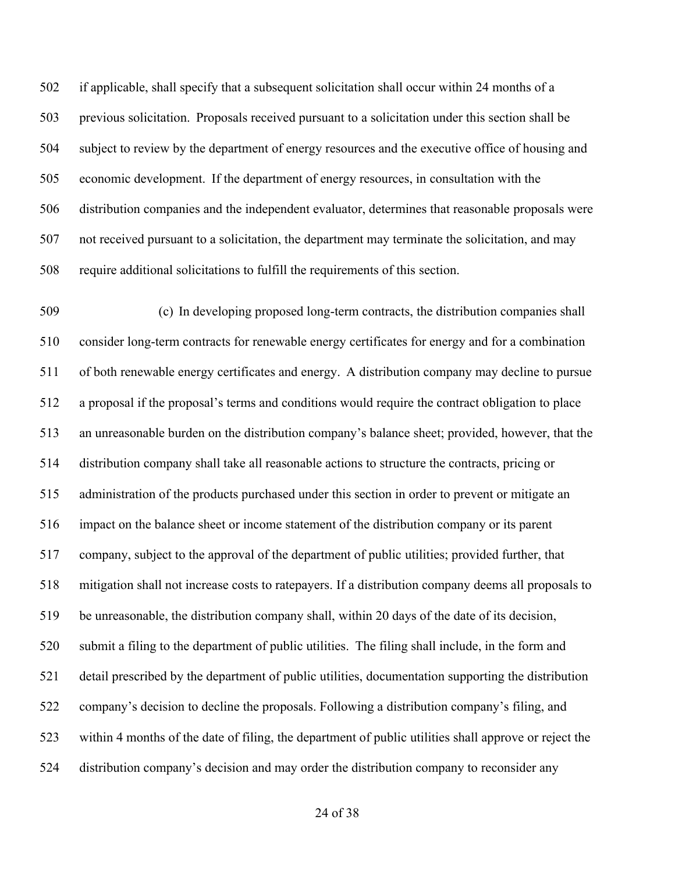if applicable, shall specify that a subsequent solicitation shall occur within 24 months of a previous solicitation.  Proposals received pursuant to a solicitation under this section shall be subject to review by the department of energy resources and the executive office of housing and economic development.  If the department of energy resources, in consultation with the distribution companies and the independent evaluator, determines that reasonable proposals were not received pursuant to a solicitation, the department may terminate the solicitation, and may require additional solicitations to fulfill the requirements of this section.

       (c)  In developing proposed long-term contracts, the distribution companies shall consider long-term contracts for renewable energy certificates for energy and for a combination of both renewable energy certificates and energy.  A distribution company may decline to pursue a proposal if the proposal's terms and conditions would require the contract obligation to place an unreasonable burden on the distribution company's balance sheet; provided, however, that the distribution company shall take all reasonable actions to structure the contracts, pricing or administration of the products purchased under this section in order to prevent or mitigate an impact on the balance sheet or income statement of the distribution company or its parent company, subject to the approval of the department of public utilities; provided further, that mitigation shall not increase costs to ratepayers. If a distribution company deems all proposals to be unreasonable, the distribution company shall, within 20 days of the date of its decision, submit a filing to the department of public utilities.  The filing shall include, in the form and detail prescribed by the department of public utilities, documentation supporting the distribution company's decision to decline the proposals. Following a distribution company's filing, and within 4 months of the date of filing, the department of public utilities shall approve or reject the distribution company's decision and may order the distribution company to reconsider any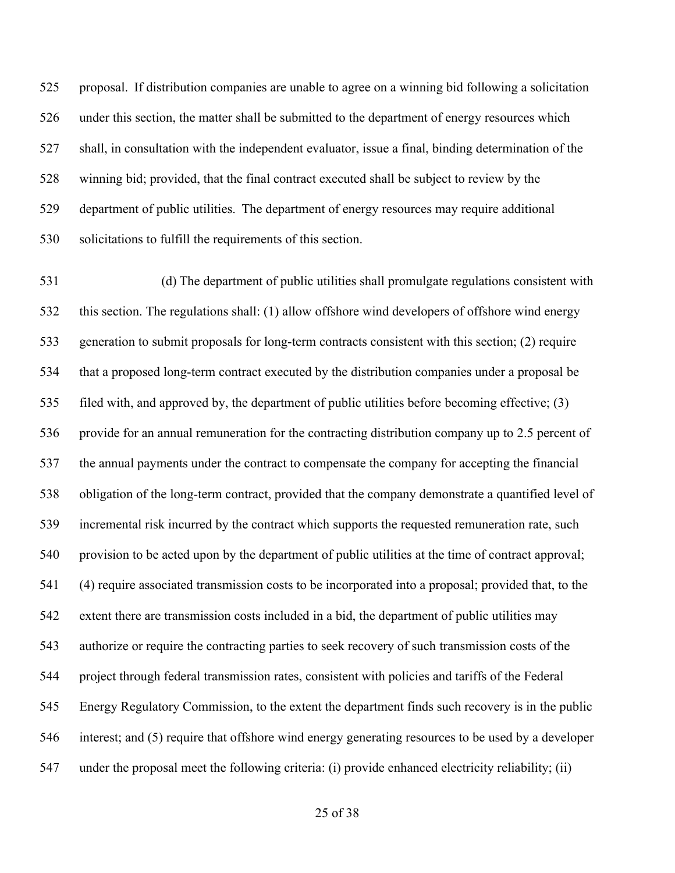proposal.  If distribution companies are unable to agree on a winning bid following a solicitation under this section, the matter shall be submitted to the department of energy resources which shall, in consultation with the independent evaluator, issue a final, binding determination of the winning bid; provided, that the final contract executed shall be subject to review by the department of public utilities.  The department of energy resources may require additional solicitations to fulfill the requirements of this section.

       (d) The department of public utilities shall promulgate regulations consistent with this section. The regulations shall: (1) allow offshore wind developers of offshore wind energy generation to submit proposals for long-term contracts consistent with this section; (2) require that a proposed long-term contract executed by the distribution companies under a proposal be filed with, and approved by, the department of public utilities before becoming effective; (3) provide for an annual remuneration for the contracting distribution company up to 2.5 percent of the annual payments under the contract to compensate the company for accepting the financial obligation of the long-term contract, provided that the company demonstrate a quantified level of incremental risk incurred by the contract which supports the requested remuneration rate, such provision to be acted upon by the department of public utilities at the time of contract approval; (4) require associated transmission costs to be incorporated into a proposal; provided that, to the extent there are transmission costs included in a bid, the department of public utilities may authorize or require the contracting parties to seek recovery of such transmission costs of the project through federal transmission rates, consistent with policies and tariffs of the Federal Energy Regulatory Commission, to the extent the department finds such recovery is in the public interest; and (5) require that offshore wind energy generating resources to be used by a developer under the proposal meet the following criteria: (i) provide enhanced electricity reliability; (ii)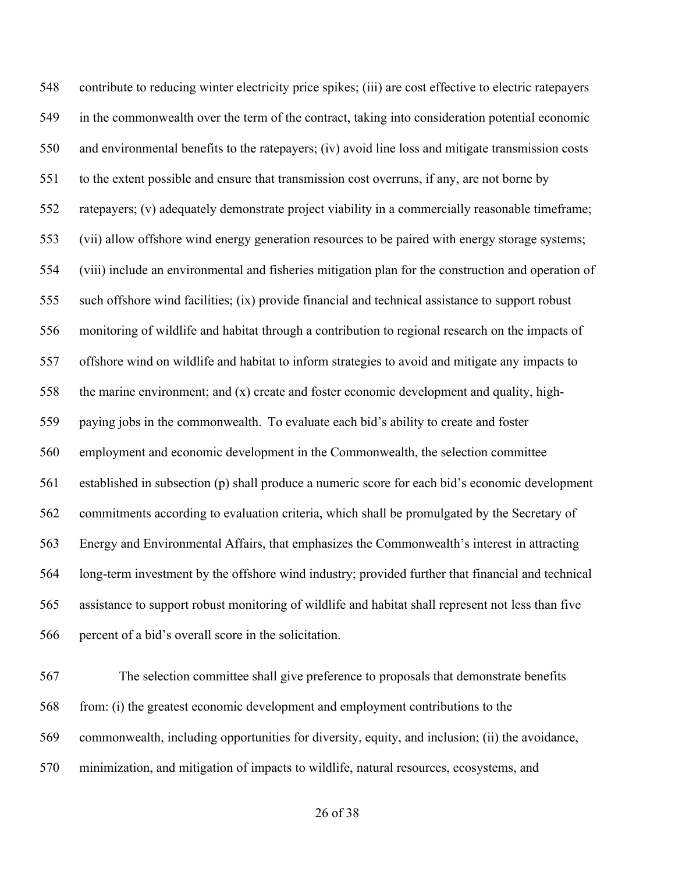contribute to reducing winter electricity price spikes; (iii) are cost effective to electric ratepayers in the commonwealth over the term of the contract, taking into consideration potential economic and environmental benefits to the ratepayers; (iv) avoid line loss and mitigate transmission costs to the extent possible and ensure that transmission cost overruns, if any, are not borne by ratepayers; (v) adequately demonstrate project viability in a commercially reasonable timeframe; (vii) allow offshore wind energy generation resources to be paired with energy storage systems; (viii) include an environmental and fisheries mitigation plan for the construction and operation of such offshore wind facilities; (ix) provide financial and technical assistance to support robust monitoring of wildlife and habitat through a contribution to regional research on the impacts of offshore wind on wildlife and habitat to inform strategies to avoid and mitigate any impacts to the marine environment; and (x) create and foster economic development and quality, high- paying jobs in the commonwealth.  To evaluate each bid's ability to create and foster employment and economic development in the Commonwealth, the selection committee established in subsection (p) shall produce a numeric score for each bid's economic development commitments according to evaluation criteria, which shall be promulgated by the Secretary of Energy and Environmental Affairs, that emphasizes the Commonwealth's interest in attracting long-term investment by the offshore wind industry; provided further that financial and technical assistance to support robust monitoring of wildlife and habitat shall represent not less than five percent of a bid's overall score in the solicitation.

 The selection committee shall give preference to proposals that demonstrate benefits from: (i) the greatest economic development and employment contributions to the commonwealth, including opportunities for diversity, equity, and inclusion; (ii) the avoidance, minimization, and mitigation of impacts to wildlife, natural resources, ecosystems, and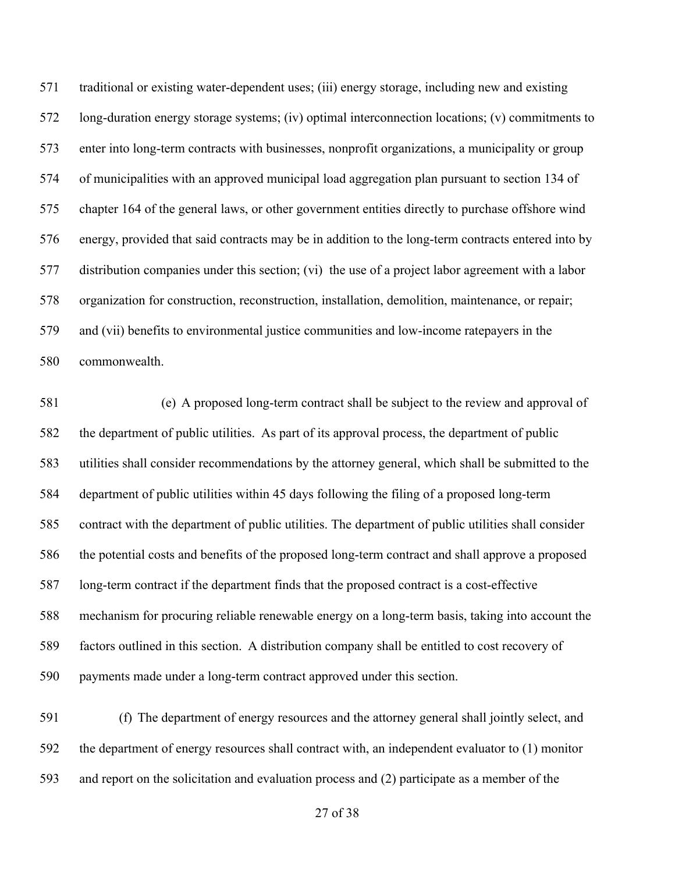traditional or existing water-dependent uses; (iii) energy storage, including new and existing long-duration energy storage systems; (iv) optimal interconnection locations; (v) commitments to enter into long-term contracts with businesses, nonprofit organizations, a municipality or group of municipalities with an approved municipal load aggregation plan pursuant to section 134 of chapter 164 of the general laws, or other government entities directly to purchase offshore wind energy, provided that said contracts may be in addition to the long-term contracts entered into by distribution companies under this section; (vi) the use of a project labor agreement with a labor organization for construction, reconstruction, installation, demolition, maintenance, or repair; and (vii) benefits to environmental justice communities and low-income ratepayers in the commonwealth.

      (e)  A proposed long-term contract shall be subject to the review and approval of the department of public utilities.  As part of its approval process, the department of public utilities shall consider recommendations by the attorney general, which shall be submitted to the department of public utilities within 45 days following the filing of a proposed long-term contract with the department of public utilities. The department of public utilities shall consider the potential costs and benefits of the proposed long-term contract and shall approve a proposed long-term contract if the department finds that the proposed contract is a cost-effective mechanism for procuring reliable renewable energy on a long-term basis, taking into account the factors outlined in this section.  A distribution company shall be entitled to cost recovery of payments made under a long-term contract approved under this section.

 (f)  The department of energy resources and the attorney general shall jointly select, and the department of energy resources shall contract with, an independent evaluator to (1) monitor and report on the solicitation and evaluation process and (2) participate as a member of the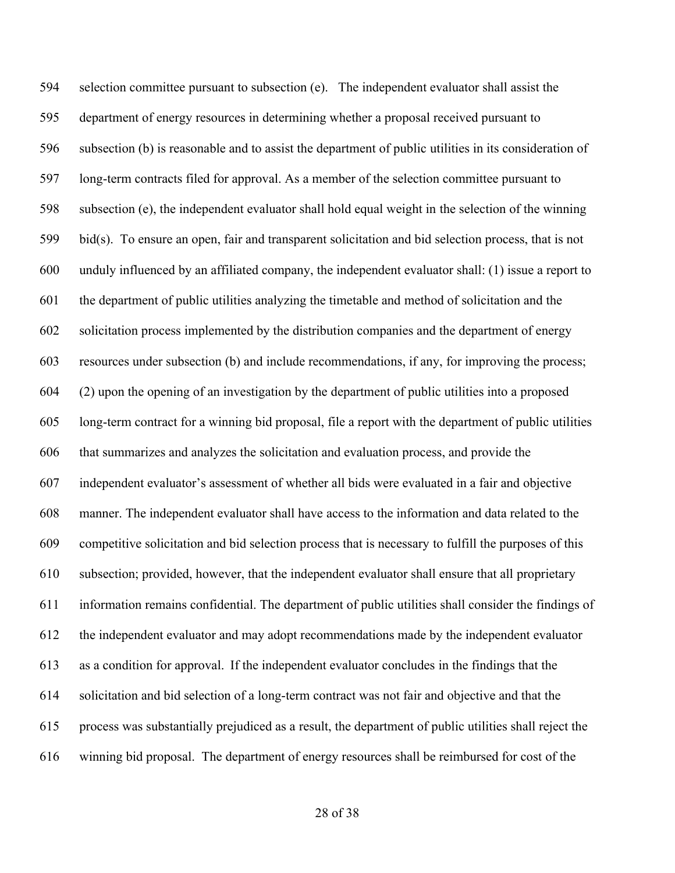selection committee pursuant to subsection (e). The independent evaluator shall assist the department of energy resources in determining whether a proposal received pursuant to subsection (b) is reasonable and to assist the department of public utilities in its consideration of long-term contracts filed for approval. As a member of the selection committee pursuant to subsection (e), the independent evaluator shall hold equal weight in the selection of the winning bid(s). To ensure an open, fair and transparent solicitation and bid selection process, that is not unduly influenced by an affiliated company, the independent evaluator shall: (1) issue a report to the department of public utilities analyzing the timetable and method of solicitation and the solicitation process implemented by the distribution companies and the department of energy resources under subsection (b) and include recommendations, if any, for improving the process; (2) upon the opening of an investigation by the department of public utilities into a proposed  long-term contract for a winning bid proposal, file a report with the department of public utilities that summarizes and analyzes the solicitation and evaluation process, and provide the independent evaluator's assessment of whether all bids were evaluated in a fair and objective manner. The independent evaluator shall have access to the information and data related to the competitive solicitation and bid selection process that is necessary to fulfill the purposes of this subsection; provided, however, that the independent evaluator shall ensure that all proprietary information remains confidential. The department of public utilities shall consider the findings of the independent evaluator and may adopt recommendations made by the independent evaluator as a condition for approval.  If the independent evaluator concludes in the findings that the solicitation and bid selection of a long-term contract was not fair and objective and that the process was substantially prejudiced as a result, the department of public utilities shall reject the winning bid proposal. The department of energy resources shall be reimbursed for cost of the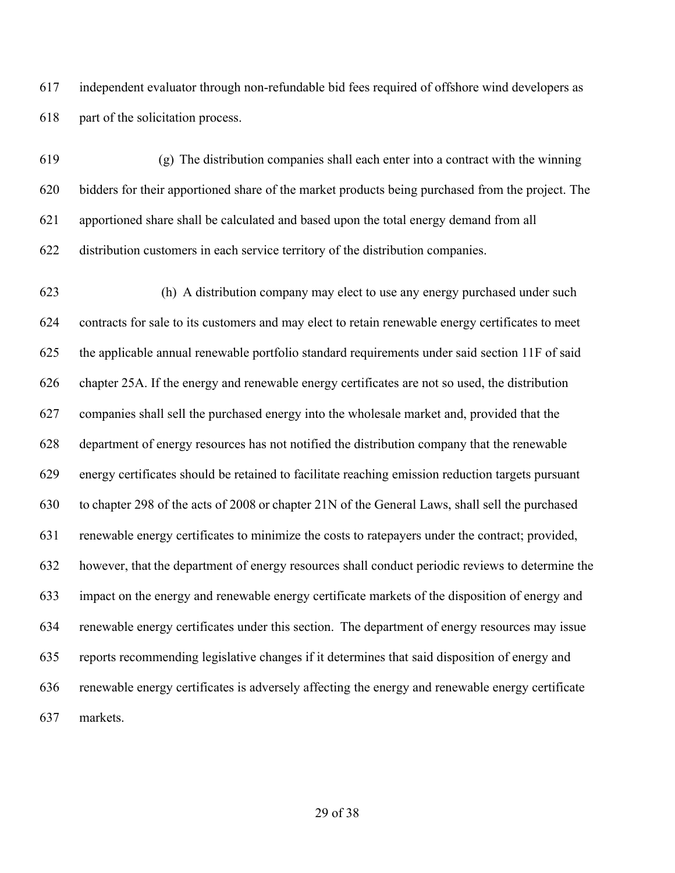independent evaluator through non-refundable bid fees required of offshore wind developers as part of the solicitation process.

       (g)  The distribution companies shall each enter into a contract with the winning bidders for their apportioned share of the market products being purchased from the project. The apportioned share shall be calculated and based upon the total energy demand from all distribution customers in each service territory of the distribution companies.

       (h)  A distribution company may elect to use any energy purchased under such contracts for sale to its customers and may elect to retain renewable energy certificates to meet the applicable annual renewable portfolio standard requirements under said section 11F of said chapter 25A. If the energy and renewable energy certificates are not so used, the distribution companies shall sell the purchased energy into the wholesale market and, provided that the department of energy resources has not notified the distribution company that the renewable energy certificates should be retained to facilitate reaching emission reduction targets pursuant to chapter 298 of the acts of 2008 or chapter 21N of the General Laws, shall sell the purchased renewable energy certificates to minimize the costs to ratepayers under the contract; provided, however, that the department of energy resources shall conduct periodic reviews to determine the impact on the energy and renewable energy certificate markets of the disposition of energy and renewable energy certificates under this section.  The department of energy resources may issue reports recommending legislative changes if it determines that said disposition of energy and renewable energy certificates is adversely affecting the energy and renewable energy certificate markets.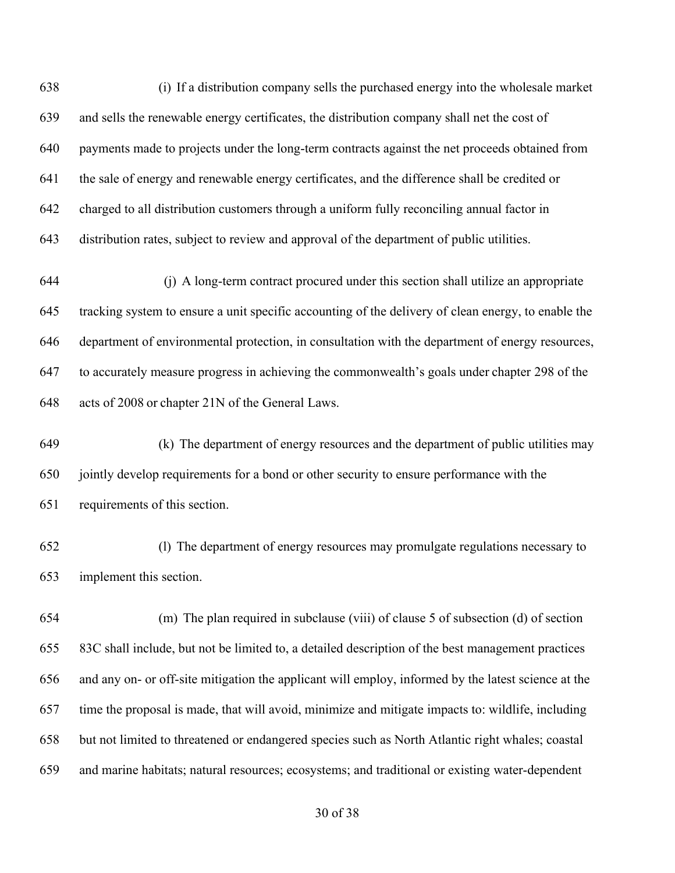(i)  If a distribution company sells the purchased energy into the wholesale market and sells the renewable energy certificates, the distribution company shall net the cost of payments made to projects under the long-term contracts against the net proceeds obtained from the sale of energy and renewable energy certificates, and the difference shall be credited or charged to all distribution customers through a uniform fully reconciling annual factor in distribution rates, subject to review and approval of the department of public utilities.       (j)  A long-term contract procured under this section shall utilize an appropriate tracking system to ensure a unit specific accounting of the delivery of clean energy, to enable the department of environmental protection, in consultation with the department of energy resources, to accurately measure progress in achieving the commonwealth's goals under chapter 298 of the acts of 2008 or chapter 21N of the General Laws.       (k)  The department of energy resources and the department of public utilities may jointly develop requirements for a bond or other security to ensure performance with the requirements of this section.       (l)  The department of energy resources may promulgate regulations necessary to implement this section.       (m)  The plan required in subclause (viii) of clause 5 of subsection (d) of section 83C shall include, but not be limited to, a detailed description of the best management practices and any on- or off-site mitigation the applicant will employ, informed by the latest science at the time the proposal is made, that will avoid, minimize and mitigate impacts to: wildlife, including but not limited to threatened or endangered species such as North Atlantic right whales; coastal

and marine habitats; natural resources; ecosystems; and traditional or existing water-dependent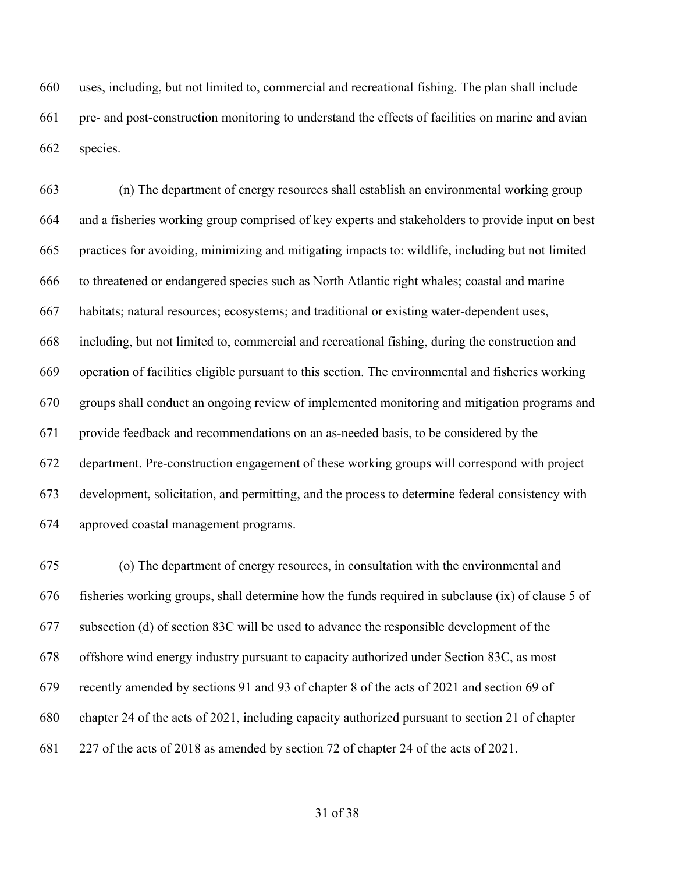uses, including, but not limited to, commercial and recreational fishing. The plan shall include pre- and post-construction monitoring to understand the effects of facilities on marine and avian species.

 (n) The department of energy resources shall establish an environmental working group and a fisheries working group comprised of key experts and stakeholders to provide input on best practices for avoiding, minimizing and mitigating impacts to: wildlife, including but not limited to threatened or endangered species such as North Atlantic right whales; coastal and marine habitats; natural resources; ecosystems; and traditional or existing water-dependent uses, including, but not limited to, commercial and recreational fishing, during the construction and operation of facilities eligible pursuant to this section. The environmental and fisheries working groups shall conduct an ongoing review of implemented monitoring and mitigation programs and provide feedback and recommendations on an as-needed basis, to be considered by the department. Pre-construction engagement of these working groups will correspond with project development, solicitation, and permitting, and the process to determine federal consistency with approved coastal management programs.

 (o) The department of energy resources, in consultation with the environmental and fisheries working groups, shall determine how the funds required in subclause (ix) of clause 5 of subsection (d) of section 83C will be used to advance the responsible development of the offshore wind energy industry pursuant to capacity authorized under Section 83C, as most recently amended by sections 91 and 93 of chapter 8 of the acts of 2021 and section 69 of chapter 24 of the acts of 2021, including capacity authorized pursuant to section 21 of chapter 227 of the acts of 2018 as amended by section 72 of chapter 24 of the acts of 2021.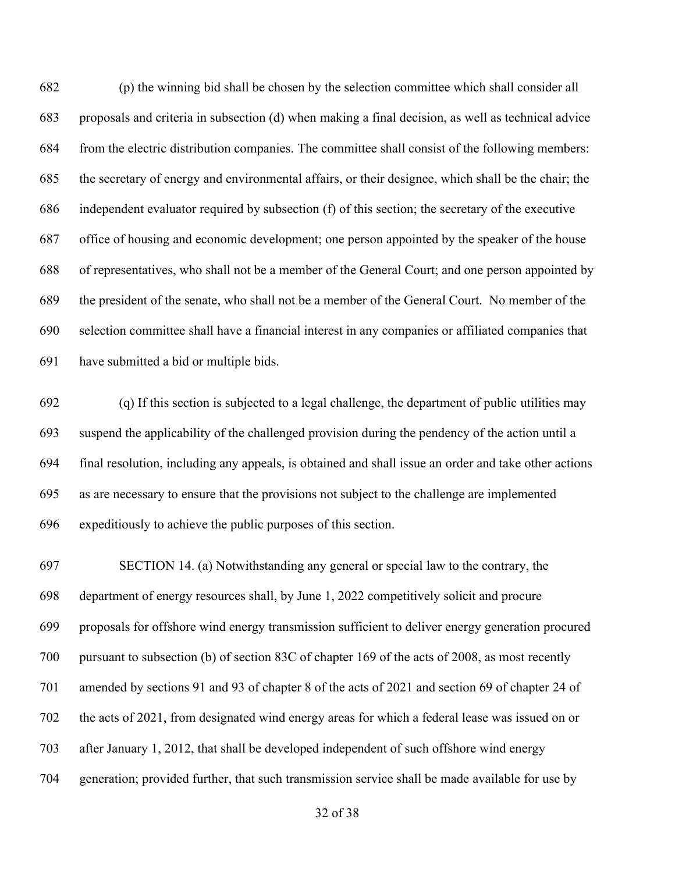(p) the winning bid shall be chosen by the selection committee which shall consider all proposals and criteria in subsection (d) when making a final decision, as well as technical advice from the electric distribution companies. The committee shall consist of the following members: the secretary of energy and environmental affairs, or their designee, which shall be the chair; the independent evaluator required by subsection (f) of this section; the secretary of the executive office of housing and economic development; one person appointed by the speaker of the house of representatives, who shall not be a member of the General Court; and one person appointed by the president of the senate, who shall not be a member of the General Court. No member of the selection committee shall have a financial interest in any companies or affiliated companies that have submitted a bid or multiple bids.

 (q) If this section is subjected to a legal challenge, the department of public utilities may suspend the applicability of the challenged provision during the pendency of the action until a final resolution, including any appeals, is obtained and shall issue an order and take other actions as are necessary to ensure that the provisions not subject to the challenge are implemented expeditiously to achieve the public purposes of this section.

 SECTION 14. (a) Notwithstanding any general or special law to the contrary, the department of energy resources shall, by June 1, 2022 competitively solicit and procure proposals for offshore wind energy transmission sufficient to deliver energy generation procured pursuant to subsection (b) of section 83C of chapter 169 of the acts of 2008, as most recently amended by sections 91 and 93 of chapter 8 of the acts of 2021 and section 69 of chapter 24 of the acts of 2021, from designated wind energy areas for which a federal lease was issued on or after January 1, 2012, that shall be developed independent of such offshore wind energy generation; provided further, that such transmission service shall be made available for use by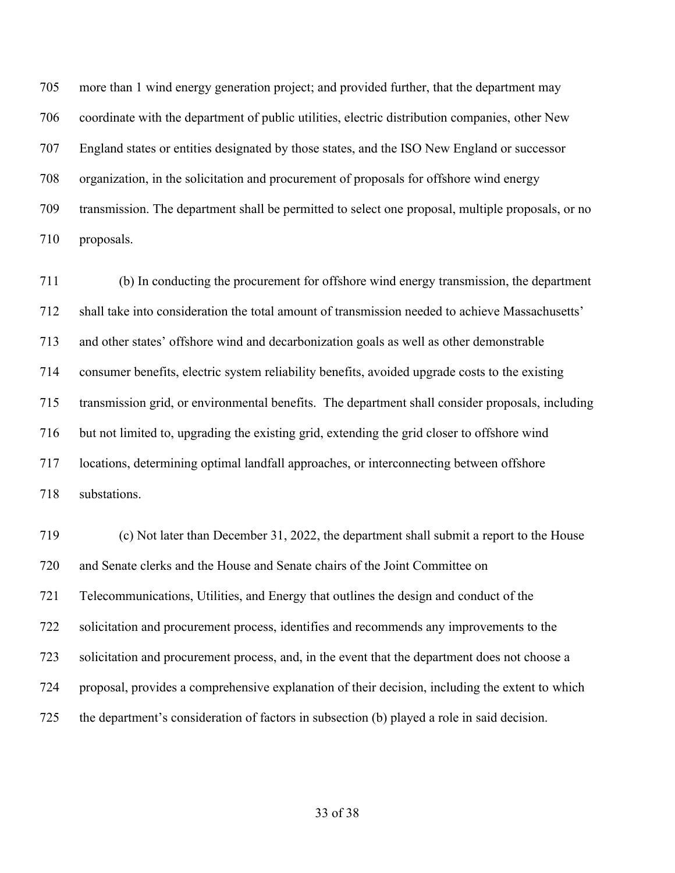more than 1 wind energy generation project; and provided further, that the department may coordinate with the department of public utilities, electric distribution companies, other New England states or entities designated by those states, and the ISO New England or successor organization, in the solicitation and procurement of proposals for offshore wind energy transmission. The department shall be permitted to select one proposal, multiple proposals, or no proposals.

 (b) In conducting the procurement for offshore wind energy transmission, the department shall take into consideration the total amount of transmission needed to achieve Massachusetts' and other states' offshore wind and decarbonization goals as well as other demonstrable consumer benefits, electric system reliability benefits, avoided upgrade costs to the existing transmission grid, or environmental benefits. The department shall consider proposals, including but not limited to, upgrading the existing grid, extending the grid closer to offshore wind locations, determining optimal landfall approaches, or interconnecting between offshore substations.

 (c) Not later than December 31, 2022, the department shall submit a report to the House and Senate clerks and the House and Senate chairs of the Joint Committee on Telecommunications, Utilities, and Energy that outlines the design and conduct of the solicitation and procurement process, identifies and recommends any improvements to the solicitation and procurement process, and, in the event that the department does not choose a proposal, provides a comprehensive explanation of their decision, including the extent to which the department's consideration of factors in subsection (b) played a role in said decision.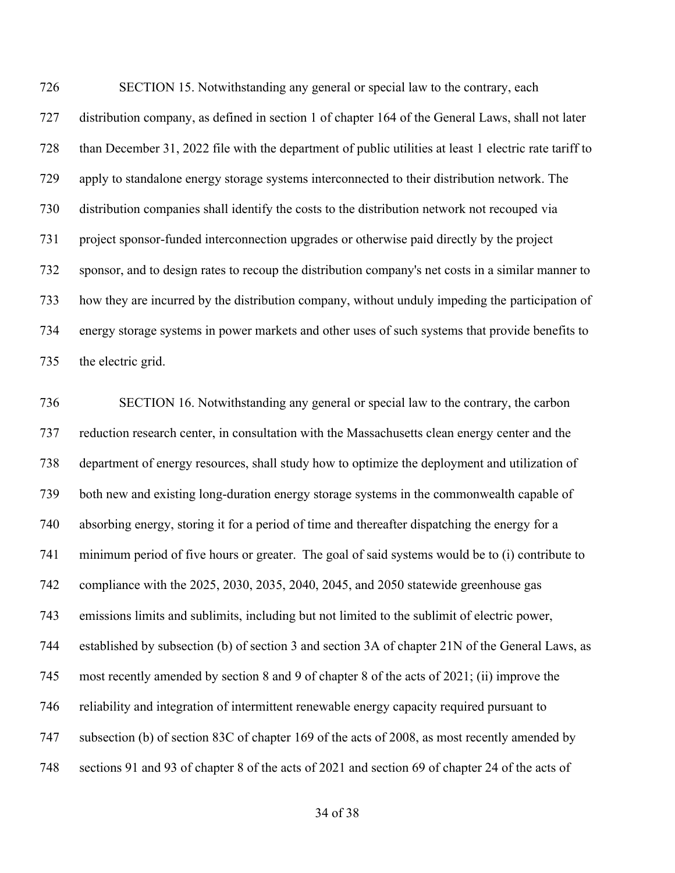SECTION 15. Notwithstanding any general or special law to the contrary, each distribution company, as defined in section 1 of chapter 164 of the General Laws, shall not later than December 31, 2022 file with the department of public utilities at least 1 electric rate tariff to apply to standalone energy storage systems interconnected to their distribution network. The distribution companies shall identify the costs to the distribution network not recouped via project sponsor-funded interconnection upgrades or otherwise paid directly by the project sponsor, and to design rates to recoup the distribution company's net costs in a similar manner to how they are incurred by the distribution company, without unduly impeding the participation of energy storage systems in power markets and other uses of such systems that provide benefits to the electric grid.

 SECTION 16. Notwithstanding any general or special law to the contrary, the carbon reduction research center, in consultation with the Massachusetts clean energy center and the department of energy resources, shall study how to optimize the deployment and utilization of both new and existing long-duration energy storage systems in the commonwealth capable of absorbing energy, storing it for a period of time and thereafter dispatching the energy for a minimum period of five hours or greater.  The goal of said systems would be to (i) contribute to compliance with the 2025, 2030, 2035, 2040, 2045, and 2050 statewide greenhouse gas emissions limits and sublimits, including but not limited to the sublimit of electric power, established by subsection (b) of section 3 and section 3A of chapter 21N of the General Laws, as most recently amended by section 8 and 9 of chapter 8 of the acts of 2021; (ii) improve the reliability and integration of intermittent renewable energy capacity required pursuant to subsection (b) of section 83C of chapter 169 of the acts of 2008, as most recently amended by sections 91 and 93 of chapter 8 of the acts of 2021 and section 69 of chapter 24 of the acts of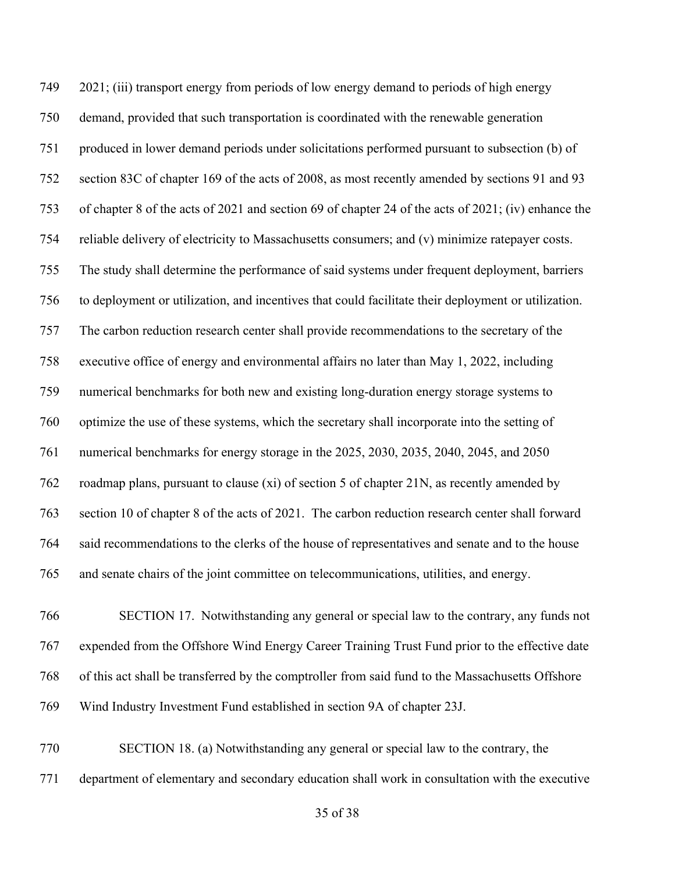2021; (iii) transport energy from periods of low energy demand to periods of high energy demand, provided that such transportation is coordinated with the renewable generation produced in lower demand periods under solicitations performed pursuant to subsection (b) of section 83C of chapter 169 of the acts of 2008, as most recently amended by sections 91 and 93 of chapter 8 of the acts of 2021 and section 69 of chapter 24 of the acts of 2021; (iv) enhance the reliable delivery of electricity to Massachusetts consumers; and (v) minimize ratepayer costs. The study shall determine the performance of said systems under frequent deployment, barriers to deployment or utilization, and incentives that could facilitate their deployment or utilization.  The carbon reduction research center shall provide recommendations to the secretary of the executive office of energy and environmental affairs no later than May 1, 2022, including numerical benchmarks for both new and existing long-duration energy storage systems to optimize the use of these systems, which the secretary shall incorporate into the setting of numerical benchmarks for energy storage in the 2025, 2030, 2035, 2040, 2045, and 2050 roadmap plans, pursuant to clause (xi) of section 5 of chapter 21N, as recently amended by section 10 of chapter 8 of the acts of 2021. The carbon reduction research center shall forward said recommendations to the clerks of the house of representatives and senate and to the house and senate chairs of the joint committee on telecommunications, utilities, and energy.

 SECTION 17. Notwithstanding any general or special law to the contrary, any funds not expended from the Offshore Wind Energy Career Training Trust Fund prior to the effective date of this act shall be transferred by the comptroller from said fund to the Massachusetts Offshore Wind Industry Investment Fund established in section 9A of chapter 23J.

 SECTION 18. (a) Notwithstanding any general or special law to the contrary, the department of elementary and secondary education shall work in consultation with the executive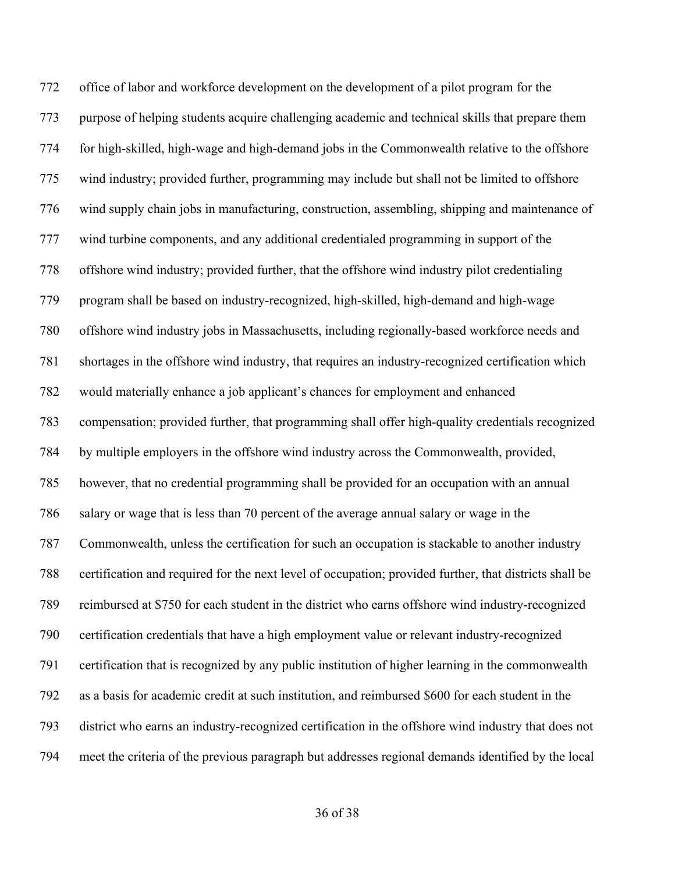office of labor and workforce development on the development of a pilot program for the purpose of helping students acquire challenging academic and technical skills that prepare them for high-skilled, high-wage and high-demand jobs in the Commonwealth relative to the offshore wind industry; provided further, programming may include but shall not be limited to offshore wind supply chain jobs in manufacturing, construction, assembling, shipping and maintenance of wind turbine components, and any additional credentialed programming in support of the offshore wind industry; provided further, that the offshore wind industry pilot credentialing program shall be based on industry-recognized, high-skilled, high-demand and high-wage offshore wind industry jobs in Massachusetts, including regionally-based workforce needs and shortages in the offshore wind industry, that requires an industry-recognized certification which would materially enhance a job applicant's chances for employment and enhanced compensation; provided further, that programming shall offer high-quality credentials recognized by multiple employers in the offshore wind industry across the Commonwealth, provided, however, that no credential programming shall be provided for an occupation with an annual salary or wage that is less than 70 percent of the average annual salary or wage in the Commonwealth, unless the certification for such an occupation is stackable to another industry certification and required for the next level of occupation; provided further, that districts shall be reimbursed at \$750 for each student in the district who earns offshore wind industry-recognized certification credentials that have a high employment value or relevant industry-recognized certification that is recognized by any public institution of higher learning in the commonwealth as a basis for academic credit at such institution, and reimbursed \$600 for each student in the district who earns an industry-recognized certification in the offshore wind industry that does not meet the criteria of the previous paragraph but addresses regional demands identified by the local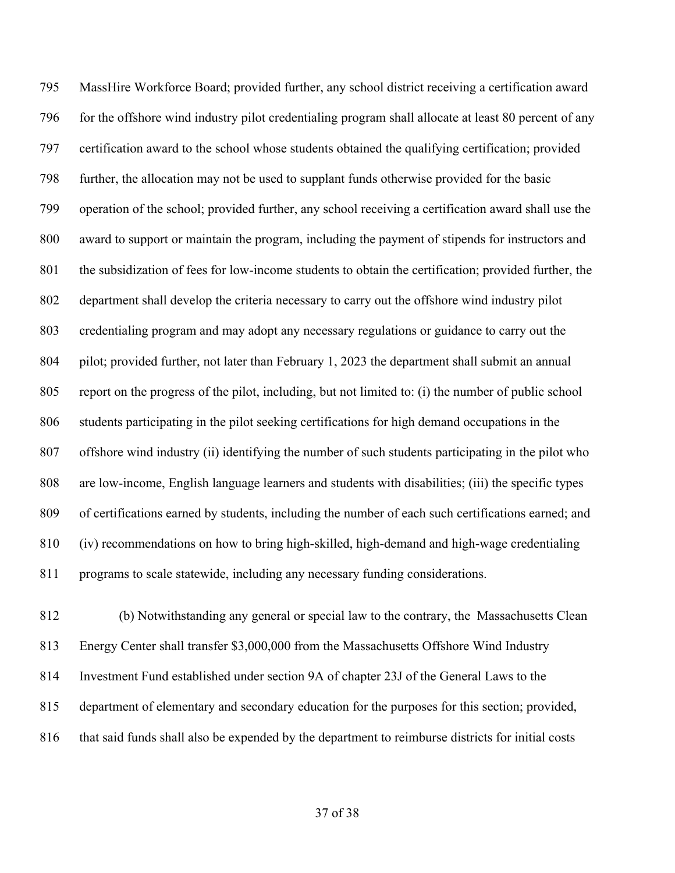MassHire Workforce Board; provided further, any school district receiving a certification award for the offshore wind industry pilot credentialing program shall allocate at least 80 percent of any certification award to the school whose students obtained the qualifying certification; provided further, the allocation may not be used to supplant funds otherwise provided for the basic operation of the school; provided further, any school receiving a certification award shall use the award to support or maintain the program, including the payment of stipends for instructors and the subsidization of fees for low-income students to obtain the certification; provided further, the department shall develop the criteria necessary to carry out the offshore wind industry pilot credentialing program and may adopt any necessary regulations or guidance to carry out the pilot; provided further, not later than February 1, 2023 the department shall submit an annual report on the progress of the pilot, including, but not limited to: (i) the number of public school students participating in the pilot seeking certifications for high demand occupations in the offshore wind industry (ii) identifying the number of such students participating in the pilot who are low-income, English language learners and students with disabilities; (iii) the specific types of certifications earned by students, including the number of each such certifications earned; and (iv) recommendations on how to bring high-skilled, high-demand and high-wage credentialing programs to scale statewide, including any necessary funding considerations.

 (b) Notwithstanding any general or special law to the contrary, the Massachusetts Clean Energy Center shall transfer \$3,000,000 from the Massachusetts Offshore Wind Industry Investment Fund established under section 9A of chapter 23J of the General Laws to the department of elementary and secondary education for the purposes for this section; provided, 816 that said funds shall also be expended by the department to reimburse districts for initial costs